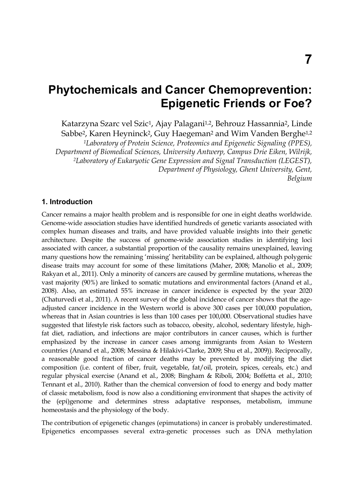# **Phytochemicals and Cancer Chemoprevention: Epigenetic Friends or Foe?**

Katarzyna Szarc vel Szic<sup>1</sup>, Ajay Palagani<sup>1,2</sup>, Behrouz Hassannia<sup>2</sup>, Linde Sabbe<sup>2</sup>, Karen Heyninck<sup>2</sup>, Guy Haegeman<sup>2</sup> and Wim Vanden Berghe<sup>1,2</sup> *1Laboratory of Protein Science, Proteomics and Epigenetic Signaling (PPES), Department of Biomedical Sciences, University Antwerp, Campus Drie Eiken, Wilrijk, 2Laboratory of Eukaryotic Gene Expression and Signal Transduction (LEGEST), Department of Physiology, Ghent University, Gent, Belgium* 

#### **1. Introduction**

Cancer remains a major health problem and is responsible for one in eight deaths worldwide. Genome-wide association studies have identified hundreds of genetic variants associated with complex human diseases and traits, and have provided valuable insights into their genetic architecture. Despite the success of genome-wide association studies in identifying loci associated with cancer, a substantial proportion of the causality remains unexplained, leaving many questions how the remaining 'missing' heritability can be explained, although polygenic disease traits may account for some of these limitations (Maher, 2008; Manolio et al., 2009; Rakyan et al., 2011). Only a minority of cancers are caused by germline mutations, whereas the vast majority (90%) are linked to somatic mutations and environmental factors (Anand et al., 2008). Also, an estimated 55% increase in cancer incidence is expected by the year 2020 (Chaturvedi et al., 2011). A recent survey of the global incidence of cancer shows that the ageadjusted cancer incidence in the Western world is above 300 cases per 100,000 population, whereas that in Asian countries is less than 100 cases per 100,000. Observational studies have suggested that lifestyle risk factors such as tobacco, obesity, alcohol, sedentary lifestyle, highfat diet, radiation, and infections are major contributors in cancer causes, which is further emphasized by the increase in cancer cases among immigrants from Asian to Western countries (Anand et al., 2008; Messina & Hilakivi-Clarke, 2009; Shu et al., 2009)). Reciprocally, a reasonable good fraction of cancer deaths may be prevented by modifying the diet composition (i.e. content of fiber, fruit, vegetable, fat/oil, protein, spices, cereals, etc.) and regular physical exercise (Anand et al., 2008; Bingham & Riboli, 2004; Boffetta et al., 2010; Tennant et al., 2010). Rather than the chemical conversion of food to energy and body matter of classic metabolism, food is now also a conditioning environment that shapes the activity of the (epi)genome and determines stress adaptative responses, metabolism, immune homeostasis and the physiology of the body.

The contribution of epigenetic changes (epimutations) in cancer is probably underestimated. Epigenetics encompasses several extra-genetic processes such as DNA methylation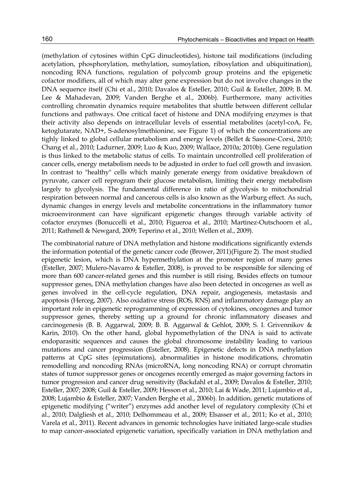(methylation of cytosines within CpG dinucleotides), histone tail modifications (including acetylation, phosphorylation, methylation, sumoylation, ribosylation and ubiquitination), noncoding RNA functions, regulation of polycomb group proteins and the epigenetic cofactor modifiers, all of which may alter gene expression but do not involve changes in the DNA sequence itself (Chi et al., 2010; Davalos & Esteller, 2010; Guil & Esteller, 2009; B. M. Lee & Mahadevan, 2009; Vanden Berghe et al., 2006b). Furthermore, many activities controlling chromatin dynamics require metabolites that shuttle between different cellular functions and pathways. One critical facet of histone and DNA modifying enzymes is that their activity also depends on intracellular levels of essential metabolites (acetyl-coA, Fe, ketoglutarate, NAD+, S-adenosylmethionine, see Figure 1) of which the concentrations are tighly linked to global cellular metabolism and energy levels (Bellet & Sassone-Corsi, 2010; Chang et al., 2010; Ladurner, 2009; Luo & Kuo, 2009; Wallace, 2010a; 2010b). Gene regulation is thus linked to the metabolic status of cells. To maintain uncontrolled cell proliferation of cancer cells, energy metabolism needs to be adjusted in order to fuel cell growth and invasion. In contrast to "healthy" cells which mainly generate energy from oxidative breakdown of pyruvate, cancer cell reprogram their glucose metabolism, limiting their energy metabolism largely to glycolysis. The fundamental difference in ratio of glycolysis to mitochondrial respiration between normal and cancerous cells is also known as the Warburg effect. As such, dynamic changes in energy levels and metabolite concentrations in the inflammatory tumor microenvironment can have significant epigenetic changes through variable activity of cofactor enzymes (Bonuccelli et al., 2010; Figueroa et al., 2010; Martinez-Outschoorn et al., 2011; Rathmell & Newgard, 2009; Teperino et al., 2010; Wellen et al., 2009).

The combinatorial nature of DNA methylation and histone modifications significantly extends the information potential of the genetic cancer code (Brower, 2011)(Figure 2). The most studied epigenetic lesion, which is DNA hypermethylation at the promoter region of many genes (Esteller, 2007; Mulero-Navarro & Esteller, 2008), is proved to be responsible for silencing of more than 600 cancer-related genes and this number is still rising. Besides effects on tumour suppressor genes, DNA methylation changes have also been detected in oncogenes as well as genes involved in the cell-cycle regulation, DNA repair, angiogenesis, metastasis and apoptosis (Herceg, 2007). Also oxidative stress (ROS, RNS) and inflammatory damage play an important role in epigenetic reprogramming of expression of cytokines, oncogenes and tumor suppressor genes, thereby setting up a ground for chronic inflammatory diseases and carcinogenesis (B. B. Aggarwal, 2009; B. B. Aggarwal & Gehlot, 2009; S. I. Grivennikov & Karin, 2010). On the other hand, global hypomethylation of the DNA is said to activate endoparasitic sequences and causes the global chromosome instability leading to various mutations and cancer progression (Esteller, 2008). Epigenetic defects in DNA methylation patterns at CpG sites (epimutations), abnormalities in histone modifications, chromatin remodelling and noncoding RNAs (microRNA, long noncoding RNA) or corrupt chromatin states of tumor suppressor genes or oncogenes recently emerged as major governing factors in tumor progression and cancer drug sensitivity (Backdahl et al., 2009; Davalos & Esteller, 2010; Esteller, 2007; 2008; Guil & Esteller, 2009; Hesson et al., 2010; Lai & Wade, 2011; Lujambio et al., 2008; Lujambio & Esteller, 2007; Vanden Berghe et al., 2006b). In addition, genetic mutations of epigenetic modifying ("writer") enzymes add another level of regulatory complexity (Chi et al., 2010; Dalgliesh et al., 2010; Delhommeau et al., 2009; Elsasser et al., 2011; Ko et al., 2010; Varela et al., 2011). Recent advances in genomic technologies have initiated large-scale studies to map cancer-associated epigenetic variation, specifically variation in DNA methylation and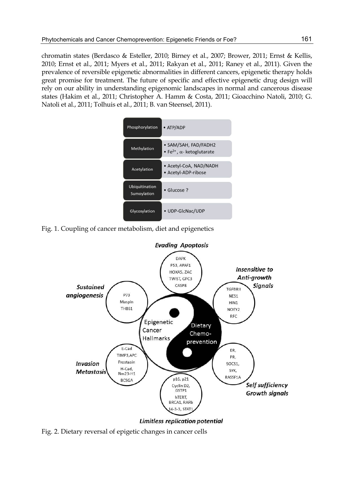chromatin states (Berdasco & Esteller, 2010; Birney et al., 2007; Brower, 2011; Ernst & Kellis, 2010; Ernst et al., 2011; Myers et al., 2011; Rakyan et al., 2011; Raney et al., 2011). Given the prevalence of reversible epigenetic abnormalities in different cancers, epigenetic therapy holds great promise for treatment. The future of specific and effective epigenetic drug design will rely on our ability in understanding epigenomic landscapes in normal and cancerous disease states (Hakim et al., 2011; Christopher A. Hamm & Costa, 2011; Gioacchino Natoli, 2010; G. Natoli et al., 2011; Tolhuis et al., 2011; B. van Steensel, 2011).



Fig. 1. Coupling of cancer metabolism, diet and epigenetics



Fig. 2. Dietary reversal of epigetic changes in cancer cells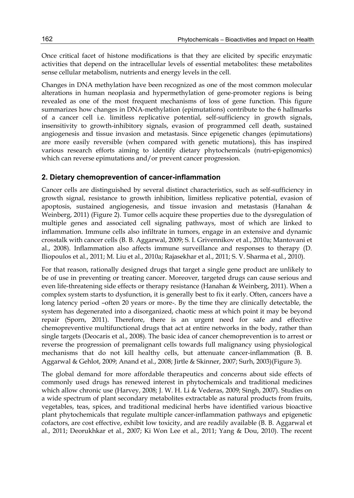Once critical facet of histone modifications is that they are elicited by specific enzymatic activities that depend on the intracellular levels of essential metabolites: these metabolites sense cellular metabolism, nutrients and energy levels in the cell.

Changes in DNA methylation have been recognized as one of the most common molecular alterations in human neoplasia and hypermethylation of gene-promoter regions is being revealed as one of the most frequent mechanisms of loss of gene function. This figure summarizes how changes in DNA-methylation (epimutations) contribute to the 6 hallmarks of a cancer cell i.e. limitless replicative potential, self-sufficiency in growth signals, insensitivity to growth-inhibitory signals, evasion of programmed cell death, sustained angiogenesis and tissue invasion and metastasis. Since epigenetic changes (epimutations) are more easily reversible (when compared with genetic mutations), this has inspired various research efforts aiming to identify dietary phytochemicals (nutri-epigenomics) which can reverse epimutations and/or prevent cancer progression.

## **2. Dietary chemoprevention of cancer-inflammation**

Cancer cells are distinguished by several distinct characteristics, such as self-sufficiency in growth signal, resistance to growth inhibition, limitless replicative potential, evasion of apoptosis, sustained angiogenesis, and tissue invasion and metastasis (Hanahan & Weinberg, 2011) (Figure 2). Tumor cells acquire these properties due to the dysregulation of multiple genes and associated cell signaling pathways, most of which are linked to inflammation. Immune cells also infiltrate in tumors, engage in an extensive and dynamic crosstalk with cancer cells (B. B. Aggarwal, 2009; S. I. Grivennikov et al., 2010a; Mantovani et al., 2008). Inflammation also affects immune surveillance and responses to therapy (D. Iliopoulos et al., 2011; M. Liu et al., 2010a; Rajasekhar et al., 2011; S. V. Sharma et al., 2010).

For that reason, rationally designed drugs that target a single gene product are unlikely to be of use in preventing or treating cancer. Moreover, targeted drugs can cause serious and even life-threatening side effects or therapy resistance (Hanahan & Weinberg, 2011). When a complex system starts to dysfunction, it is generally best to fix it early. Often, cancers have a long latency period –often 20 years or more-. By the time they are clinically detectable, the system has degenerated into a disorganized, chaotic mess at which point it may be beyond repair (Sporn, 2011). Therefore, there is an urgent need for safe and effective chemopreventive multifunctional drugs that act at entire networks in the body, rather than single targets (Deocaris et al., 2008). The basic idea of cancer chemoprevention is to arrest or reverse the progression of premalignant cells towards full malignancy using physiological mechanisms that do not kill healthy cells, but attenuate cancer-inflammation (B. B. Aggarwal & Gehlot, 2009; Anand et al., 2008; Jirtle & Skinner, 2007; Surh, 2003)(Figure 3).

The global demand for more affordable therapeutics and concerns about side effects of commonly used drugs has renewed interest in phytochemicals and traditional medicines which allow chronic use (Harvey, 2008; J. W. H. Li & Vederas, 2009; Singh, 2007). Studies on a wide spectrum of plant secondary metabolites extractable as natural products from fruits, vegetables, teas, spices, and traditional medicinal herbs have identified various bioactive plant phytochemicals that regulate multiple cancer-inflammation pathways and epigenetic cofactors, are cost effective, exhibit low toxicity, and are readily available (B. B. Aggarwal et al., 2011; Deorukhkar et al., 2007; Ki Won Lee et al., 2011; Yang & Dou, 2010). The recent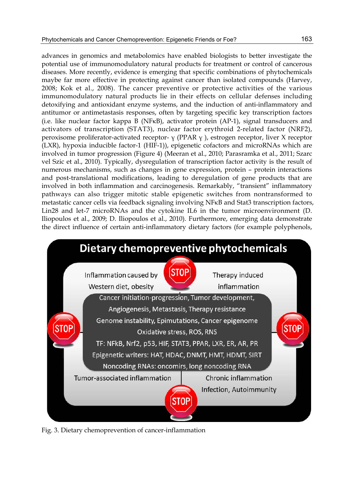advances in genomics and metabolomics have enabled biologists to better investigate the potential use of immunomodulatory natural products for treatment or control of cancerous diseases. More recently, evidence is emerging that specific combinations of phytochemicals maybe far more effective in protecting against cancer than isolated compounds (Harvey, 2008; Kok et al., 2008). The cancer preventive or protective activities of the various immunomodulatory natural products lie in their effects on cellular defenses including detoxifying and antioxidant enzyme systems, and the induction of anti-inflammatory and antitumor or antimetastasis responses, often by targeting specific key transcription factors  $(i.e.$  like nuclear factor kappa B ( $NFRB$ ), activator protein  $(AP-1)$ , signal transducers and activators of transcription (STAT3), nuclear factor erythroid 2-related factor (NRF2), peroxisome proliferator-activated receptor- γ (PPAR γ ), estrogen receptor, liver X receptor (LXR), hypoxia inducible factor-1 (HIF-1)), epigenetic cofactors and microRNAs which are involved in tumor progression (Figure 4) (Meeran et al., 2010; Parasramka et al., 2011; Szarc vel Szic et al., 2010). Typically, dysregulation of transcription factor activity is the result of numerous mechanisms, such as changes in gene expression, protein – protein interactions and post-translational modifications, leading to deregulation of gene products that are involved in both inflammation and carcinogenesis. Remarkably, "transient" inflammatory pathways can also trigger mitotic stable epigenetic switches from nontransformed to metastatic cancer cells via feedback signaling involving NFKB and Stat3 transcription factors, Lin28 and let-7 microRNAs and the cytokine IL6 in the tumor microenvironment (D. Iliopoulos et al., 2009; D. Iliopoulos et al., 2010). Furthermore, emerging data demonstrate the direct influence of certain anti-inflammatory dietary factors (for example polyphenols,



Fig. 3. Dietary chemoprevention of cancer-inflammation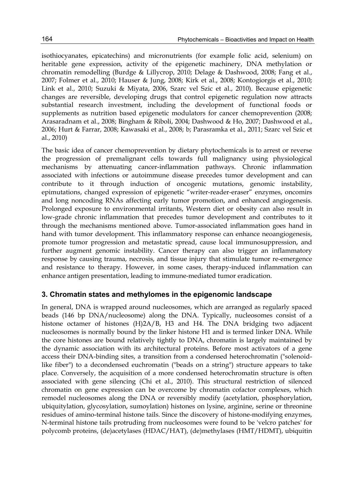isothiocyanates, epicatechins) and micronutrients (for example folic acid, selenium) on heritable gene expression, activity of the epigenetic machinery, DNA methylation or chromatin remodelling (Burdge & Lillycrop, 2010; Delage & Dashwood, 2008; Fang et al., 2007; Folmer et al., 2010; Hauser & Jung, 2008; Kirk et al., 2008; Kontogiorgis et al., 2010; Link et al., 2010; Suzuki & Miyata, 2006, Szarc vel Szic et al., 2010). Because epigenetic changes are reversible, developing drugs that control epigenetic regulation now attracts substantial research investment, including the development of functional foods or supplements as nutrition based epigenetic modulators for cancer chemoprevention (2008; Arasaradnam et al., 2008; Bingham & Riboli, 2004; Dashwood & Ho, 2007; Dashwood et al., 2006; Hurt & Farrar, 2008; Kawasaki et al., 2008; b; Parasramka et al., 2011; Szarc vel Szic et al., 2010)

The basic idea of cancer chemoprevention by dietary phytochemicals is to arrest or reverse the progression of premalignant cells towards full malignancy using physiological mechanisms by attenuating cancer-inflammation pathways. Chronic inflammation associated with infections or autoimmune disease precedes tumor development and can contribute to it through induction of oncogenic mutations, genomic instability, epimutations, changed expression of epigenetic "writer-reader-eraser" enzymes, oncomirs and long noncoding RNAs affecting early tumor promotion, and enhanced angiogenesis. Prolonged exposure to environmental irritants, Western diet or obesity can also result in low-grade chronic inflammation that precedes tumor development and contributes to it through the mechanisms mentioned above. Tumor-associated inflammation goes hand in hand with tumor development. This inflammatory response can enhance neoangiogenesis, promote tumor progression and metastatic spread, cause local immunosuppression, and further augment genomic instability. Cancer therapy can also trigger an inflammatory response by causing trauma, necrosis, and tissue injury that stimulate tumor re-emergence and resistance to therapy. However, in some cases, therapy-induced inflammation can enhance antigen presentation, leading to immune-mediated tumor eradication.

#### **3. Chromatin states and methylomes in the epigenomic landscape**

In general, DNA is wrapped around nucleosomes, which are arranged as regularly spaced beads (146 bp DNA/nucleosome) along the DNA. Typically, nucleosomes consist of a histone octamer of histones (H)2A/B, H3 and H4. The DNA bridging two adjacent nucleosomes is normally bound by the linker histone H1 and is termed linker DNA. While the core histones are bound relatively tightly to DNA, chromatin is largely maintained by the dynamic association with its architectural proteins. Before most activators of a gene access their DNA-binding sites, a transition from a condensed heterochromatin ("solenoidlike fiber") to a decondensed euchromatin ("beads on a string") structure appears to take place. Conversely, the acquisition of a more condensed heterochromatin structure is often associated with gene silencing (Chi et al., 2010). This structural restriction of silenced chromatin on gene expression can be overcome by chromatin cofactor complexes, which remodel nucleosomes along the DNA or reversibly modify (acetylation, phosphorylation, ubiquitylation, glycosylation, sumoylation) histones on lysine, arginine, serine or threonine residues of amino-terminal histone tails. Since the discovery of histone-modifying enzymes, N-terminal histone tails protruding from nucleosomes were found to be 'velcro patches' for polycomb proteins, (de)acetylases (HDAC/HAT), (de)methylases (HMT/HDMT), ubiquitin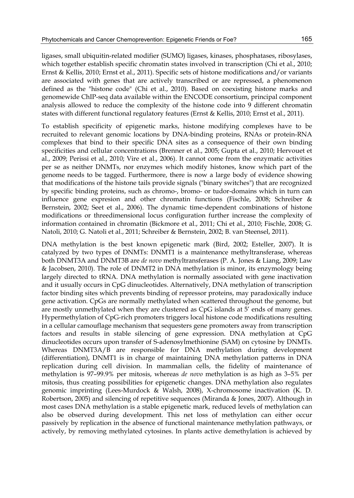ligases, small ubiquitin-related modifier (SUMO) ligases, kinases, phosphatases, ribosylases, which together establish specific chromatin states involved in transcription (Chi et al., 2010; Ernst & Kellis, 2010; Ernst et al., 2011). Specific sets of histone modifications and/or variants are associated with genes that are actively transcribed or are repressed, a phenomenon defined as the "histone code" (Chi et al., 2010). Based on coexisting histone marks and genomewide ChIP-seq data available within the ENCODE consortium, principal component analysis allowed to reduce the complexity of the histone code into 9 different chromatin states with different functional regulatory features (Ernst & Kellis, 2010; Ernst et al., 2011).

To establish specificity of epigenetic marks, histone modifying complexes have to be recruited to relevant genomic locations by DNA-binding proteins, RNAs or protein-RNA complexes that bind to their specific DNA sites as a consequence of their own binding specificities and cellular concentrations (Brenner et al., 2005; Gupta et al., 2010; Hervouet et al., 2009; Perissi et al., 2010; Vire et al., 2006). It cannot come from the enzymatic activities per se as neither DNMTs, nor enzymes which modify histones, know which part of the genome needs to be tagged. Furthermore, there is now a large body of evidence showing that modifications of the histone tails provide signals ("binary switches") that are recognized by specific binding proteins, such as chromo-, bromo- or tudor-domains which in turn can influence gene expresion and other chromatin functions (Fischle, 2008; Schreiber & Bernstein, 2002; Seet et al., 2006). The dynamic time-dependent combinations of histone modifications or threedimensional locus configuration further increase the complexity of information contained in chromatin (Bickmore et al., 2011; Chi et al., 2010; Fischle, 2008; G. Natoli, 2010; G. Natoli et al., 2011; Schreiber & Bernstein, 2002; B. van Steensel, 2011).

DNA methylation is the best known epigenetic mark (Bird, 2002; Esteller, 2007). It is catalyzed by two types of DNMTs: DNMT1 is a maintenance methyltransferase, whereas both DNMT3A and DNMT3B are *de novo* methyltransferases (P. A. Jones & Liang, 2009; Law & Jacobsen, 2010). The role of DNMT2 in DNA methylation is minor, its enzymology being largely directed to tRNA. DNA methylation is normally associated with gene inactivation and it usually occurs in CpG dinucleotides. Alternatively, DNA methylation of transcription factor binding sites which prevents binding of repressor proteins, may paradoxically induce gene activation. CpGs are normally methylated when scattered throughout the genome, but are mostly unmethylated when they are clustered as CpG islands at 5' ends of many genes. Hypermethylation of CpG-rich promoters triggers local histone code modifications resulting in a cellular camouflage mechanism that sequesters gene promoters away from transcription factors and results in stable silencing of gene expression. DNA methylation at CpG dinucleotides occurs upon transfer of S-adenosylmethionine (SAM) on cytosine by DNMTs. Whereas DNMT3A/B are responsible for DNA methylation during development (differentiation), DNMT1 is in charge of maintaining DNA methylation patterns in DNA replication during cell division. In mammalian cells, the fidelity of maintenance of methylation is 97–99.9% per mitosis, whereas *de novo* methylation is as high as 3–5% per mitosis, thus creating possibilities for epigenetic changes. DNA methylation also regulates genomic imprinting (Lees-Murdock & Walsh, 2008), X-chromosome inactivation (K. D. Robertson, 2005) and silencing of repetitive sequences (Miranda & Jones, 2007). Although in most cases DNA methylation is a stable epigenetic mark, reduced levels of methylation can also be observed during development. This net loss of methylation can either occur passively by replication in the absence of functional maintenance methylation pathways, or actively, by removing methylated cytosines. In plants active demethylation is achieved by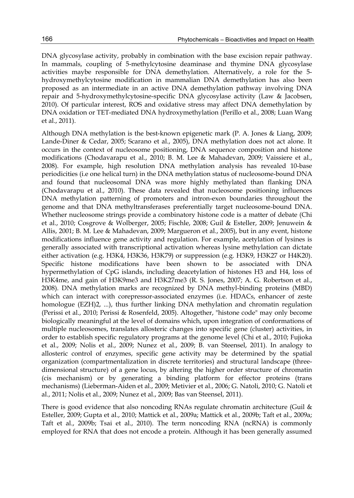DNA glycosylase activity, probably in combination with the base excision repair pathway. In mammals, coupling of 5-methylcytosine deaminase and thymine DNA glycosylase activities maybe responsible for DNA demethylation. Alternatively, a role for the 5 hydroxymethylcytosine modification in mammalian DNA demethylation has also been proposed as an intermediate in an active DNA demethylation pathway involving DNA repair and 5-hydroxymethylcytosine-specific DNA glycosylase activity (Law & Jacobsen, 2010). Of particular interest, ROS and oxidative stress may affect DNA demethylation by DNA oxidation or TET-mediated DNA hydroxymethylation (Perillo et al., 2008; Luan Wang et al., 2011).

Although DNA methylation is the best-known epigenetic mark (P. A. Jones & Liang, 2009; Lande-Diner & Cedar, 2005; Scarano et al., 2005), DNA methylation does not act alone. It occurs in the context of nucleosome positioning, DNA sequence composition and histone modifications (Chodavarapu et al., 2010; B. M. Lee & Mahadevan, 2009; Vaissiere et al., 2008). For example, high resolution DNA methylation analysis has revealed 10-base periodicities (i.e one helical turn) in the DNA methylation status of nucleosome-bound DNA and found that nucleosomal DNA was more highly methylated than flanking DNA (Chodavarapu et al., 2010). These data revealed that nucleosome positioning influences DNA methylation patterning of promoters and intron-exon boundaries throughout the genome and that DNA methyltransferases preferentially target nucleosome-bound DNA. Whether nucleosome strings provide a combinatory histone code is a matter of debate (Chi et al., 2010; Cosgrove & Wolberger, 2005; Fischle, 2008; Guil & Esteller, 2009; Jenuwein & Allis, 2001; B. M. Lee & Mahadevan, 2009; Margueron et al., 2005), but in any event, histone modifications influence gene activity and regulation. For example, acetylation of lysines is generally associated with transcriptional activation whereas lysine methylation can dictate either activation (e.g. H3K4, H3K36, H3K79) or suppression (e.g. H3K9, H3K27 or H4K20). Specific histone modifications have been shown to be associated with DNA hypermethylation of CpG islands, including deacetylation of histones H3 and H4, loss of H3K4me, and gain of H3K9me3 and H3K27me3 (R. S. Jones, 2007; A. G. Robertson et al., 2008). DNA methylation marks are recognized by DNA methyl-binding proteins (MBD) which can interact with corepressor-associated enzymes (i.e. HDACs, enhancer of zeste homologue (EZH)2, ...), thus further linking DNA methylation and chromatin regulation (Perissi et al., 2010; Perissi & Rosenfeld, 2005). Altogether, "histone code" may only become biologically meaningful at the level of domains which, upon integration of conformations of multiple nucleosomes, translates allosteric changes into specific gene (cluster) activities, in order to establish specific regulatory programs at the genome level (Chi et al., 2010; Fujioka et al., 2009; Nolis et al., 2009; Nunez et al., 2009; B. van Steensel, 2011). In analogy to allosteric control of enzymes, specific gene activity may be determined by the spatial organization (compartmentalization in discrete territories) and structural landscape (threedimensional structure) of a gene locus, by altering the higher order structure of chromatin (cis mechanism) or by generating a binding platform for effector proteins (trans mechanisms) (Lieberman-Aiden et al., 2009; Metivier et al., 2006; G. Natoli, 2010; G. Natoli et al., 2011; Nolis et al., 2009; Nunez et al., 2009; Bas van Steensel, 2011).

There is good evidence that also noncoding RNAs regulate chromatin architecture (Guil & Esteller, 2009; Gupta et al., 2010; Mattick et al., 2009a; Mattick et al., 2009b; Taft et al., 2009a; Taft et al., 2009b; Tsai et al., 2010). The term noncoding RNA (ncRNA) is commonly employed for RNA that does not encode a protein. Although it has been generally assumed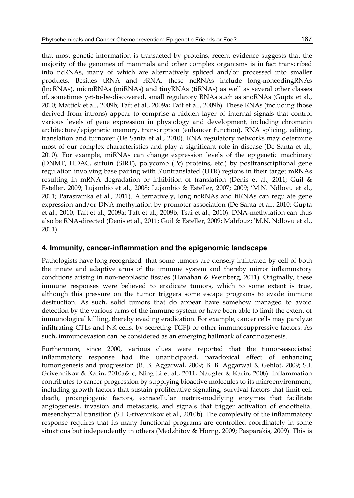that most genetic information is transacted by proteins, recent evidence suggests that the majority of the genomes of mammals and other complex organisms is in fact transcribed into ncRNAs, many of which are alternatively spliced and/or processed into smaller products. Besides tRNA and rRNA, these ncRNAs include long-noncodingRNAs (lncRNAs), microRNAs (miRNAs) and tinyRNAs (tiRNAs) as well as several other classes of, sometimes yet-to-be-discovered, small regulatory RNAs such as snoRNAs (Gupta et al., 2010; Mattick et al., 2009b; Taft et al., 2009a; Taft et al., 2009b). These RNAs (including those derived from introns) appear to comprise a hidden layer of internal signals that control various levels of gene expression in physiology and development, including chromatin architecture/epigenetic memory, transcription (enhancer function), RNA splicing, editing, translation and turnover (De Santa et al., 2010). RNA regulatory networks may determine most of our complex characteristics and play a significant role in disease (De Santa et al., 2010). For example, miRNAs can change expression levels of the epigenetic machinery (DNMT, HDAC, sirtuin (SIRT), polycomb (Pc) proteins, etc.) by posttranscriptional gene regulation involving base pairing with 3'untranslated (UTR) regions in their target mRNAs resulting in mRNA degradation or inhibition of translation (Denis et al., 2011; Guil & Esteller, 2009; Lujambio et al., 2008; Lujambio & Esteller, 2007; 2009; 'M.N. Ndlovu et al., 2011; Parasramka et al., 2011). Alternatively, long ncRNAs and tiRNAs can regulate gene expression and/or DNA methylation by promoter association (De Santa et al., 2010; Gupta et al., 2010; Taft et al., 2009a; Taft et al., 2009b; Tsai et al., 2010). DNA-methylation can thus also be RNA-directed (Denis et al., 2011; Guil & Esteller, 2009; Mahfouz; 'M.N. Ndlovu et al., 2011).

#### **4. Immunity, cancer-inflammation and the epigenomic landscape**

Pathologists have long recognized that some tumors are densely infiltrated by cell of both the innate and adaptive arms of the immune system and thereby mirror inflammatory conditions arising in non-neoplastic tissues (Hanahan & Weinberg, 2011). Originally, these immune responses were believed to eradicate tumors, which to some extent is true, although this pressure on the tumor triggers some escape programs to evade immune destruction. As such, solid tumors that do appear have somehow managed to avoid detection by the various arms of the immune system or have been able to limit the extent of immunological killling, thereby evading eradication. For example, cancer cells may paralyze infiltrating CTLs and NK cells, by secreting  $TGF\beta$  or other immunosuppressive factors. As such, immunoevasion can be considered as an emerging hallmark of carcinogenesis.

Furthermore, since 2000, various clues were reported that the tumor-associated inflammatory response had the unanticipated, paradoxical effect of enhancing tumorigenesis and progression (B. B. Aggarwal, 2009; B. B. Aggarwal & Gehlot, 2009; S.I. Grivennikov & Karin, 2010a& c; Ning Li et al., 2011; Naugler & Karin, 2008). Inflammation contributes to cancer progression by supplying bioactive molecules to its microenvironment, including growth factors that sustain proliferative signaling, survival factors that limit cell death, proangiogenic factors, extracellular matrix-modifying enzymes that facilitate angiogenesis, invasion and metastasis, and signals that trigger activation of endothelial mesenchymal transition (S.I. Grivennikov et al., 2010b). The complexity of the inflammatory response requires that its many functional programs are controlled coordinately in some situations but independently in others (Medzhitov & Horng, 2009; Pasparakis, 2009). This is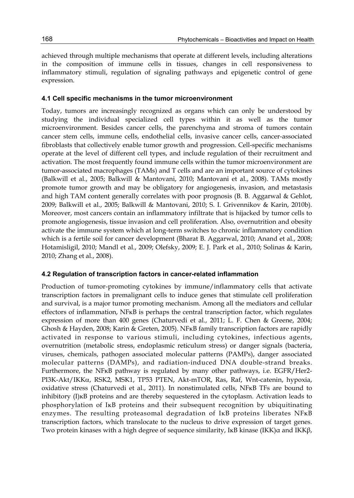achieved through multiple mechanisms that operate at different levels, including alterations in the composition of immune cells in tissues, changes in cell responsiveness to inflammatory stimuli, regulation of signaling pathways and epigenetic control of gene expression.

### **4.1 Cell specific mechanisms in the tumor microenvironment**

Today, tumors are increasingly recognized as organs which can only be understood by studying the individual specialized cell types within it as well as the tumor microenvironment. Besides cancer cells, the parenchyma and stroma of tumors contain cancer stem cells, immune cells, endothelial cells, invasive cancer cells, cancer-associated fibroblasts that collectively enable tumor growth and progression. Cell-specific mechanisms operate at the level of different cell types, and include regulation of their recruitment and activation. The most frequently found immune cells within the tumor microenvironment are tumor-associated macrophages (TAMs) and T cells and are an important source of cytokines (Balkwill et al., 2005; Balkwill & Mantovani, 2010; Mantovani et al., 2008). TAMs mostly promote tumor growth and may be obligatory for angiogenesis, invasion, and metastasis and high TAM content generally correlates with poor prognosis (B. B. Aggarwal & Gehlot, 2009; Balkwill et al., 2005; Balkwill & Mantovani, 2010; S. I. Grivennikov & Karin, 2010b). Moreover, most cancers contain an inflammatory infiltrate that is hijacked by tumor cells to promote angiogenesis, tissue invasion and cell proliferation. Also, overnutrition and obesity activate the immune system which at long-term switches to chronic inflammatory condition which is a fertile soil for cancer development (Bharat B. Aggarwal, 2010; Anand et al., 2008; Hotamisligil, 2010; Mandl et al., 2009; Olefsky, 2009; E. J. Park et al., 2010; Solinas & Karin, 2010; Zhang et al., 2008).

## **4.2 Regulation of transcription factors in cancer-related inflammation**

Production of tumor-promoting cytokines by immune/inflammatory cells that activate transcription factors in premalignant cells to induce genes that stimulate cell proliferation and survival, is a major tumor promoting mechanism. Among all the mediators and cellular effectors of inflammation, NFκB is perhaps the central transcription factor, which regulates expression of more than 400 genes (Chaturvedi et al., 2011; L. F. Chen & Greene, 2004; Ghosh & Hayden, 2008; Karin & Greten, 2005). NFκB family transcription factors are rapidly activated in response to various stimuli, including cytokines, infectious agents, overnutrition (metabolic stress, endoplasmic reticulum stress) or danger signals (bacteria, viruses, chemicals, pathogen associated molecular patterns (PAMPs), danger associated molecular patterns (DAMPs), and radiation-induced DNA double-strand breaks. Furthermore, the NFκB pathway is regulated by many other pathways, i.e. EGFR/Her2- PI3K-Akt/IKKa, RSK2, MSK1, TP53 PTEN, Akt-mTOR, Ras, Raf, Wnt-catenin, hypoxia, oxidative stress (Chaturvedi et al., 2011). In nonstimulated cells, NFκB TFs are bound to inhibitory (I)κB proteins and are thereby sequestered in the cytoplasm. Activation leads to phosphorylation of IκB proteins and their subsequent recognition by ubiquitinating enzymes. The resulting proteasomal degradation of IκB proteins liberates NFκB transcription factors, which translocate to the nucleus to drive expression of target genes. Two protein kinases with a high degree of sequence similarity, IkB kinase (IKK) $\alpha$  and IKK $\beta$ ,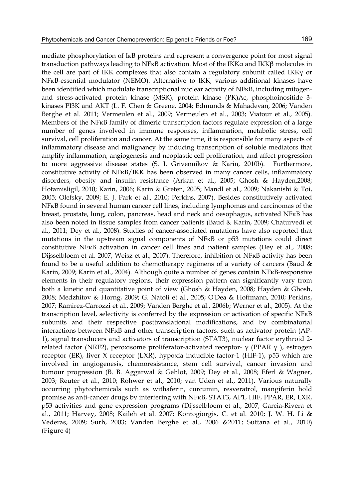mediate phosphorylation of IκB proteins and represent a convergence point for most signal transduction pathways leading to NFκB activation. Most of the IKKα and IKKβ molecules in the cell are part of IKK complexes that also contain a regulatory subunit called IKKγ or NFκB-essential modulator (NEMO). Alternative to IKK, various additional kinases have been identified which modulate transcriptional nuclear activity of NF<sub>KB</sub>, including mitogenand stress-activated protein kinase (MSK), protein kinase (PK)Ac, phosphoinositide 3 kinases PI3K and AKT (L. F. Chen & Greene, 2004; Edmunds & Mahadevan, 2006; Vanden Berghe et al. 2011; Vermeulen et al., 2009; Vermeulen et al., 2003; Viatour et al., 2005). Members of the NFκB family of dimeric transcription factors regulate expression of a large number of genes involved in immune responses, inflammation, metabolic stress, cell survival, cell proliferation and cancer. At the same time, it is responsible for many aspects of inflammatory disease and malignancy by inducing transcription of soluble mediators that amplify inflammation, angiogenesis and neoplastic cell proliferation, and affect progression to more aggressive disease states (S. I. Grivennikov & Karin, 2010b). Furthermore, constitutive activity of NFκB/IKK has been observed in many cancer cells, inflammatory disorders, obesity and insulin resistance (Arkan et al., 2005; Ghosh & Hayden,2008; Hotamisligil, 2010; Karin, 2006; Karin & Greten, 2005; Mandl et al., 2009; Nakanishi & Toi, 2005; Olefsky, 2009; E. J. Park et al., 2010; Perkins, 2007). Besides constitutively activated NFκB found in several human cancer cell lines, including lymphomas and carcinomas of the breast, prostate, lung, colon, pancreas, head and neck and oesophagus, activated NFκB has also been noted in tissue samples from cancer patients (Baud & Karin, 2009; Chaturvedi et al., 2011; Dey et al., 2008). Studies of cancer-associated mutations have also reported that mutations in the upstream signal components of NFκB or p53 mutations could direct constitutive NFκB activation in cancer cell lines and patient samples (Dey et al., 2008; Dijsselbloem et al. 2007; Weisz et al., 2007). Therefore, inhibition of NFκB activity has been found to be a useful addition to chemotherapy regimens of a variety of cancers (Baud & Karin, 2009; Karin et al., 2004). Although quite a number of genes contain NFκB-responsive elements in their regulatory regions, their expression pattern can significantly vary from both a kinetic and quantitative point of view (Ghosh & Hayden, 2008; Hayden & Ghosh, 2008; Medzhitov & Horng, 2009; G. Natoli et al., 2005; O'Dea & Hoffmann, 2010; Perkins, 2007; Ramirez-Carrozzi et al., 2009; Vanden Berghe et al., 2006b; Werner et al., 2005). At the transcription level, selectivity is conferred by the expression or activation of specific NFκB subunits and their respective posttranslational modifications, and by combinatorial interactions between NFκB and other transcription factors, such as activator protein (AP-1), signal transducers and activators of transcription (STAT3), nuclear factor erythroid 2 related factor (NRF2), peroxisome proliferator-activated receptor- γ (PPAR γ), estrogen receptor (ER), liver X receptor (LXR), hypoxia inducible factor-1 (HIF-1), p53 which are involved in angiogenesis, chemoresistance, stem cell survival, cancer invasion and tumour progression (B. B. Aggarwal & Gehlot, 2009; Dey et al., 2008; Eferl & Wagner, 2003; Reuter et al., 2010; Rohwer et al., 2010; van Uden et al., 2011). Various naturally occurring phytochemicals such as withaferin, curcumin, resveratrol, mangiferin hold promise as anti-cancer drugs by interfering with NFκB, STAT3, AP1, HIF, PPAR, ER, LXR, p53 activities and gene expression programs (Dijsselbloem et al., 2007; Garcia-Rivera et al., 2011; Harvey, 2008; Kaileh et al. 2007; Kontogiorgis, C. et al. 2010; J. W. H. Li & Vederas, 2009; Surh, 2003; Vanden Berghe et al., 2006 &2011; Suttana et al., 2010) (Figure 4)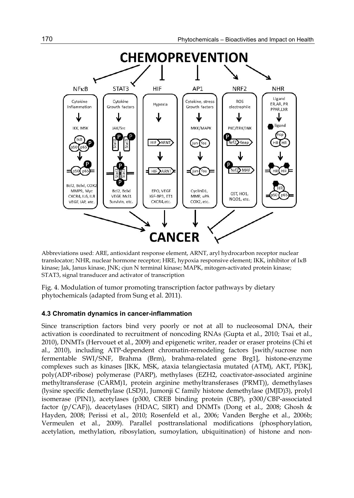

Abbreviations used: ARE, antioxidant response element, ARNT, aryl hydrocarbon receptor nuclear translocator; NHR, nuclear hormone receptor; HRE, hypoxia responsive element; IKK, inhibitor of IKB kinase; Jak, Janus kinase, JNK; cjun N terminal kinase; MAPK, mitogen-activated protein kinase; STAT3, signal transducer and activator of transcription

Fig. 4. Modulation of tumor promoting transcription factor pathways by dietary phytochemicals (adapted from Sung et al. 2011).

#### **4.3 Chromatin dynamics in cancer-inflammation**

Since transcription factors bind very poorly or not at all to nucleosomal DNA, their activation is coordinated to recruitment of noncoding RNAs (Gupta et al., 2010; Tsai et al., 2010), DNMTs (Hervouet et al., 2009) and epigenetic writer, reader or eraser proteins (Chi et al., 2010), including ATP-dependent chromatin-remodeling factors [swith/sucrose non fermentable SWI/SNF, Brahma (Brm), brahma-related gene Brg1], histone-enzyme complexes such as kinases [IKK, MSK, ataxia telangiectasia mutated (ATM), AKT, PI3K], poly(ADP-ribose) polymerase (PARP), methylases (EZH2, coactivator-associated arginine methyltransferase (CARM)1, protein arginine methyltransferases (PRMT)), demethylases (lysine specific demethylase (LSD)1, Jumonji C family histone demethylase (JMJD)3), prolyl isomerase (PIN1), acetylases (p300, CREB binding protein (CBP), p300/CBP-associated factor (p/CAF)), deacetylases (HDAC, SIRT) and DNMTs (Dong et al., 2008; Ghosh & Hayden, 2008; Perissi et al., 2010; Rosenfeld et al., 2006; Vanden Berghe et al., 2006b; Vermeulen et al., 2009). Parallel posttranslational modifications (phosphorylation, acetylation, methylation, ribosylation, sumoylation, ubiquitination) of histone and non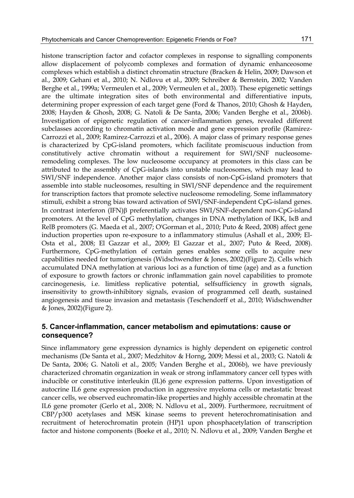histone transcription factor and cofactor complexes in response to signalling components allow displacement of polycomb complexes and formation of dynamic enhanceosome complexes which establish a distinct chromatin structure (Bracken & Helin, 2009; Dawson et al., 2009; Gehani et al., 2010; N. Ndlovu et al., 2009; Schreiber & Bernstein, 2002; Vanden Berghe et al., 1999a; Vermeulen et al., 2009; Vermeulen et al., 2003). These epigenetic settings are the ultimate integration sites of both environmental and differentiative inputs, determining proper expression of each target gene (Ford & Thanos, 2010; Ghosh & Hayden, 2008; Hayden & Ghosh, 2008; G. Natoli & De Santa, 2006; Vanden Berghe et al., 2006b). Investigation of epigenetic regulation of cancer-inflammation genes, revealed different subclasses according to chromatin activation mode and gene expression profile (Ramirez-Carrozzi et al., 2009; Ramirez-Carrozzi et al., 2006). A major class of primary response genes is characterized by CpG-island promoters, which facilitate promiscuous induction from constitutively active chromatin without a requirement for SWI/SNF nucleosomeremodeling complexes. The low nucleosome occupancy at promoters in this class can be attributed to the assembly of CpG-islands into unstable nucleosomes, which may lead to SWI/SNF independence. Another major class consists of non-CpG-island promoters that assemble into stable nucleosomes, resulting in SWI/SNF dependence and the requirement for transcription factors that promote selective nucleosome remodeling. Some inflammatory stimuli, exhibit a strong bias toward activation of SWI/SNF-independent CpG-island genes. In contrast interferon  $(IFN)\beta$  preferentially activates SWI/SNF-dependent non-CpG-island promoters. At the level of CpG methylation, changes in DNA methylation of IKK, IKB and RelB promoters (G. Maeda et al., 2007; O'Gorman et al., 2010; Puto & Reed, 2008) affect gene induction properties upon re-exposure to a inflammatory stimulus (Ashall et al., 2009; El-Osta et al., 2008; El Gazzar et al., 2009; El Gazzar et al., 2007; Puto & Reed, 2008). Furthermore, CpG-methylation of certain genes enables some cells to acquire new capabilities needed for tumorigenesis (Widschwendter & Jones, 2002)(Figure 2). Cells which accumulated DNA methylation at various loci as a function of time (age) and as a function of exposure to growth factors or chronic inflammation gain novel capabilities to promote carcinogenesis, i.e. limitless replicative potential, selfsufficiency in growth signals, insensitivity to growth-inhibitory signals, evasion of programmed cell death, sustained angiogenesis and tissue invasion and metastasis (Teschendorff et al., 2010; Widschwendter & Jones, 2002)(Figure 2).

## **5. Cancer-inflammation, cancer metabolism and epimutations: cause or consequence?**

Since inflammatory gene expression dynamics is highly dependent on epigenetic control mechanisms (De Santa et al., 2007; Medzhitov & Horng, 2009; Messi et al., 2003; G. Natoli & De Santa, 2006; G. Natoli et al., 2005; Vanden Berghe et al., 2006b), we have previously characterized chromatin organization in weak or strong inflammatory cancer cell types with inducible or constitutive interleukin (IL)6 gene expression patterns. Upon investigation of autocrine IL6 gene expression production in aggressive myeloma cells or metastatic breast cancer cells, we observed euchromatin-like properties and highly accessible chromatin at the IL6 gene promoter (Gerlo et al., 2008; N. Ndlovu et al., 2009). Furthermore, recruitment of CBP/p300 acetylases and MSK kinase seems to prevent heterochromatinisation and recruitment of heterochromatin protein (HP)1 upon phosphacetylation of transcription factor and histone components (Boeke et al., 2010; N. Ndlovu et al., 2009; Vanden Berghe et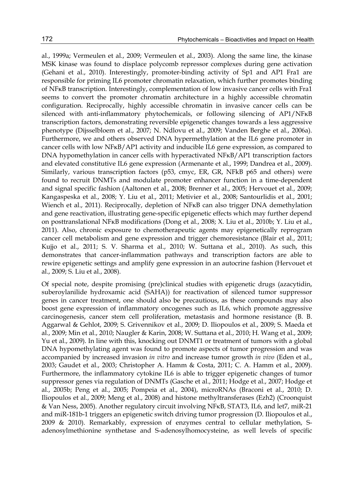al., 1999a; Vermeulen et al., 2009; Vermeulen et al., 2003). Along the same line, the kinase MSK kinase was found to displace polycomb repressor complexes during gene activation (Gehani et al., 2010). Interestingly, promoter-binding activity of Sp1 and AP1 Fra1 are responsible for priming IL6 promoter chromatin relaxation, which further promotes binding of NFκB transcription. Interestingly, complementation of low invasive cancer cells with Fra1 seems to convert the promoter chromatin architecture in a highly accessible chromatin configuration. Reciprocally, highly accessible chromatin in invasive cancer cells can be silenced with anti-inflammatory phytochemicals, or following silencing of AP1/NFκB transcription factors, demonstrating reversible epigenetic changes towards a less aggressive phenotype (Dijsselbloem et al., 2007; N. Ndlovu et al., 2009; Vanden Berghe et al., 2006a). Furthermore, we and others observed DNA hypermethylation at the IL6 gene promoter in cancer cells with low NFκB/AP1 activity and inducible IL6 gene expression, as compared to DNA hypomethylation in cancer cells with hyperactivated NFκB/AP1 transcription factors and elevated constitutive IL6 gene expression (Armenante et al., 1999; Dandrea et al., 2009). Similarly, various transcription factors (p53, cmyc, ER, GR, NFkB p65 and others) were found to recruit DNMTs and modulate promoter enhancer function in a time-dependent and signal specific fashion (Aaltonen et al., 2008; Brenner et al., 2005; Hervouet et al., 2009; Kangaspeska et al., 2008; Y. Liu et al., 2011; Metivier et al., 2008; Santourlidis et al., 2001; Wiench et al., 2011). Reciprocally, depletion of NFκB can also trigger DNA demethylation and gene reactivation, illustrating gene-specific epigenetic effects which may further depend on posttranslational NFκB modifications (Dong et al., 2008; X. Liu et al., 2010b; Y. Liu et al., 2011). Also, chronic exposure to chemotherapeutic agents may epigenetically reprogram cancer cell metabolism and gene expression and trigger chemoresistance (Blair et al., 2011; Kujjo et al., 2011; S. V. Sharma et al., 2010; W. Suttana et al., 2010). As such, this demonstrates that cancer-inflammation pathways and transcription factors are able to rewire epigenetic settings and amplify gene expression in an autocrine fashion (Hervouet et al., 2009; S. Liu et al., 2008).

Of special note, despite promising (pre)clinical studies with epigenetic drugs (azacytidin, suberoylanilide hydroxamic acid (SAHA)) for reactivation of silenced tumor suppressor genes in cancer treatment, one should also be precautious, as these compounds may also boost gene expression of inflammatory oncogenes such as IL6, which promote aggressive carcinogenesis, cancer stem cell proliferation, metastasis and hormone resistance (B. B. Aggarwal & Gehlot, 2009; S. Grivennikov et al., 2009; D. Iliopoulos et al., 2009; S. Maeda et al., 2009; Min et al., 2010; Naugler & Karin, 2008; W. Suttana et al., 2010; H. Wang et al., 2009; Yu et al., 2009). In line with this, knocking out DNMT1 or treatment of tumors with a global DNA hypomethylating agent was found to promote aspects of tumor progression and was accompanied by increased invasion *in vitro* and increase tumor growth *in vivo* (Eden et al., 2003; Gaudet et al., 2003; Christopher A. Hamm & Costa, 2011; C. A. Hamm et al., 2009). Furthermore, the inflammatory cytokine IL6 is able to trigger epigenetic changes of tumor suppressor genes via regulation of DNMTs (Gasche et al., 2011; Hodge et al., 2007; Hodge et al., 2005b; Peng et al., 2005; Pompeia et al., 2004), microRNAs (Braconi et al., 2010; D. Iliopoulos et al., 2009; Meng et al., 2008) and histone methyltransferases (Ezh2) (Croonquist & Van Ness, 2005). Another regulatory circuit involving NFB, STAT3, IL6, and let7, miR-21 and miR-181b-1 triggers an epigenetic switch driving tumor progression (D. Iliopoulos et al., 2009 & 2010). Remarkably, expression of enzymes central to cellular methylation, Sadenosylmethionine synthetase and S-adenosylhomocysteine, as well levels of specific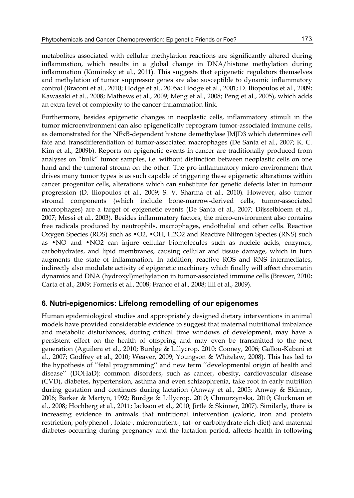metabolites associated with cellular methylation reactions are significantly altered during inflammation, which results in a global change in DNA/histone methylation during inflammation (Kominsky et al., 2011). This suggests that epigenetic regulators themselves and methylation of tumor suppressor genes are also susceptible to dynamic inflammatory control (Braconi et al., 2010; Hodge et al., 2005a; Hodge et al., 2001; D. Iliopoulos et al., 2009; Kawasaki et al., 2008; Mathews et al., 2009; Meng et al., 2008; Peng et al., 2005), which adds an extra level of complexity to the cancer-inflammation link.

Furthermore, besides epigenetic changes in neoplastic cells, inflammatory stimuli in the tumor microenvironment can also epigenetically reprogram tumor-associated immune cells, as demonstrated for the NFKB-dependent histone demethylase JMJD3 which determines cell fate and transdifferentiation of tumor-associated macrophages (De Santa et al., 2007; K. C. Kim et al., 2009b). Reports on epigenetic events in cancer are traditionally produced from analyses on "bulk" tumor samples, i.e. without distinction between neoplastic cells on one hand and the tumoral stroma on the other. The pro-inflammatory micro-environment that drives many tumor types is as such capable of triggering these epigenetic alterations within cancer progenitor cells, alterations which can substitute for genetic defects later in tumour progression (D. Iliopoulos et al., 2009; S. V. Sharma et al., 2010). However, also tumor stromal components (which include bone-marrow-derived cells, tumor-associated macrophages) are a target of epigenetic events (De Santa et al., 2007; Dijsselbloem et al., 2007; Messi et al., 2003). Besides inflammatory factors, the micro-environment also contains free radicals produced by neutrophils, macrophages, endothelial and other cells. Reactive Oxygen Species (ROS) such as •O2, •OH, H2O2 and Reactive Nitrogen Species (RNS) such as •NO and •NO2 can injure cellular biomolecules such as nucleic acids, enzymes, carbohydrates, and lipid membranes, causing cellular and tissue damage, which in turn augments the state of inflammation. In addition, reactive ROS and RNS intermediates, indirectly also modulate activity of epigenetic machinery which finally will affect chromatin dynamics and DNA (hydroxyl)methylation in tumor-associated immune cells (Brewer, 2010; Carta et al., 2009; Forneris et al., 2008; Franco et al., 2008; Illi et al., 2009).

#### **6. Nutri-epigenomics: Lifelong remodelling of our epigenomes**

Human epidemiological studies and appropriately designed dietary interventions in animal models have provided considerable evidence to suggest that maternal nutritional imbalance and metabolic disturbances, during critical time windows of development, may have a persistent effect on the health of offspring and may even be transmitted to the next generation (Aguilera et al., 2010; Burdge & Lillycrop, 2010; Cooney, 2006; Gallou-Kabani et al., 2007; Godfrey et al., 2010; Weaver, 2009; Youngson & Whitelaw, 2008). This has led to the hypothesis of ''fetal programming'' and new term ''developmental origin of health and disease'' (DOHaD): common disorders, such as cancer, obesity, cardiovascular disease (CVD), diabetes, hypertension, asthma and even schizophrenia, take root in early nutrition during gestation and continues during lactation (Anway et al., 2005; Anway & Skinner, 2006; Barker & Martyn, 1992; Burdge & Lillycrop, 2010; Chmurzynska, 2010; Gluckman et al., 2008; Hochberg et al., 2011; Jackson et al., 2010; Jirtle & Skinner, 2007). Similarly, there is increasing evidence in animals that nutritional intervention (caloric, iron and protein restriction, polyphenol-, folate-, micronutrient-, fat- or carbohydrate-rich diet) and maternal diabetes occurring during pregnancy and the lactation period, affects health in following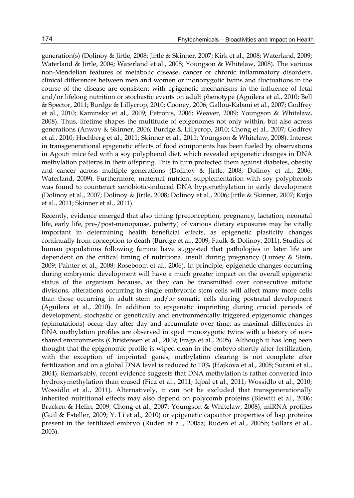generation(s) (Dolinoy & Jirtle, 2008; Jirtle & Skinner, 2007; Kirk et al., 2008; Waterland, 2009; Waterland & Jirtle, 2004; Waterland et al., 2008; Youngson & Whitelaw, 2008). The various non-Mendelian features of metabolic disease, cancer or chronic inflammatory disorders, clinical differences between men and women or monozygotic twins and fluctuations in the course of the disease are consistent with epigenetic mechanisms in the influence of fetal and/or lifelong nutrition or stochastic events on adult phenotype (Aguilera et al., 2010; Bell & Spector, 2011; Burdge & Lillycrop, 2010; Cooney, 2006; Gallou-Kabani et al., 2007; Godfrey et al., 2010; Kaminsky et al., 2009; Petronis, 2006; Weaver, 2009; Youngson & Whitelaw, 2008). Thus, lifetime shapes the multitude of epigenomes not only within, but also across generations (Anway & Skinner, 2006; Burdge & Lillycrop, 2010; Chong et al., 2007; Godfrey et al., 2010; Hochberg et al., 2011; Skinner et al., 2011; Youngson & Whitelaw, 2008). Interest in transgenerational epigenetic effects of food components has been fueled by observations in Agouti mice fed with a soy polyphenol diet, which revealed epigenetic changes in DNA methylation patterns in their offspring. This in turn protected them against diabetes, obesity and cancer across multiple generations (Dolinoy & Jirtle, 2008; Dolinoy et al., 2006; Waterland, 2009). Furthermore, maternal nutrient supplementation with soy polyphenols was found to counteract xenobiotic-induced DNA hypomethylation in early development (Dolinoy et al., 2007; Dolinoy & Jirtle, 2008; Dolinoy et al., 2006; Jirtle & Skinner, 2007; Kujjo et al., 2011; Skinner et al., 2011).

Recently, evidence emerged that also timing (preconception, pregnancy, lactation, neonatal life, early life, pre-/post-menopause, puberty) of various dietary exposures may be vitally important in determining health beneficial effects, as epigenetic plasticity changes continually from conception to death (Burdge et al., 2009; Faulk & Dolinoy, 2011). Studies of human populations following famine have suggested that pathologies in later life are dependent on the critical timing of nutritional insult during pregnancy (Lumey & Stein, 2009; Painter et al., 2008; Roseboom et al., 2006). In principle, epigenetic changes occurring during embryonic development will have a much greater impact on the overall epigenetic status of the organism because, as they can be transmitted over consecutive mitotic divisions, alterations occurring in single embryonic stem cells will affect many more cells than those occurring in adult stem and/or somatic cells during postnatal development (Aguilera et al., 2010). In addition to epigenetic imprinting during crucial periods of development, stochastic or genetically and environmentally triggered epigenomic changes (epimutations) occur day after day and accumulate over time, as maximal differences in DNA methylation profiles are observed in aged monozygotic twins with a history of nonshared environments (Christensen et al., 2009; Fraga et al., 2005). Although it has long been thought that the epigenomic profile is wiped clean in the embryo shortly after fertilization, with the exception of imprinted genes, methylation clearing is not complete after fertilization and on a global DNA level is reduced to 10% (Hajkova et al., 2008; Surani et al., 2004). Remarkably, recent evidence suggests that DNA methylation is rather converted into hydroxymethylation than erased (Ficz et al., 2011; Iqbal et al., 2011; Wossidlo et al., 2010; Wossidlo et al., 2011). Alternatively, it can not be excluded that transgenerationally inherited nutritional effects may also depend on polycomb proteins (Blewitt et al., 2006; Bracken & Helin, 2009; Chong et al., 2007; Youngson & Whitelaw, 2008), miRNA profiles (Guil & Esteller, 2009; Y. Li et al., 2010) or epigenetic capacitor properties of hsp proteins present in the fertilized embryo (Ruden et al., 2005a; Ruden et al., 2005b; Sollars et al., 2003).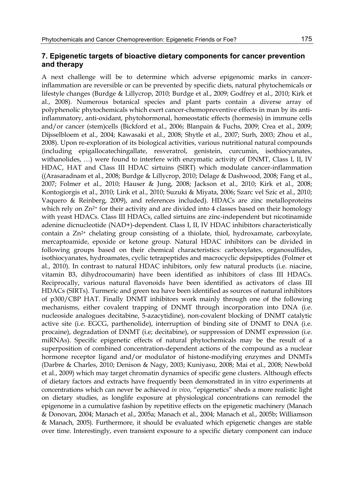## **7. Epigenetic targets of bioactive dietary components for cancer prevention and therapy**

A next challenge will be to determine which adverse epigenomic marks in cancerinflammation are reversible or can be prevented by specific diets, natural phytochemicals or lifestyle changes (Burdge & Lillycrop, 2010; Burdge et al., 2009; Godfrey et al., 2010; Kirk et al., 2008). Numerous botanical species and plant parts contain a diverse array of polyphenolic phytochemicals which exert cancer-chemopreventive effects in man by its antiinflammatory, anti-oxidant, phytohormonal, homeostatic effects (hormesis) in immune cells and/or cancer (stem)cells (Bickford et al., 2006; Blanpain & Fuchs, 2009; Crea et al., 2009; Dijsselbloem et al., 2004; Kawasaki et al., 2008; Shytle et al., 2007; Surh, 2003; Zhou et al., 2008). Upon re-exploration of its biological activities, various nutritional natural compounds (including epigallocatechingallate, resveratrol, genistein, curcumin, isothiocyanates, withanolides, …) were found to interfere with enzymatic activity of DNMT, Class I, II, IV HDAC, HAT and Class III HDAC sirtuins (SIRT) which modulate cancer-inflammation ((Arasaradnam et al., 2008; Burdge & Lillycrop, 2010; Delage & Dashwood, 2008; Fang et al., 2007; Folmer et al., 2010; Hauser & Jung, 2008; Jackson et al., 2010; Kirk et al., 2008; Kontogiorgis et al., 2010; Link et al., 2010; Suzuki & Miyata, 2006; Szarc vel Szic et al., 2010; Vaquero & Reinberg, 2009), and references included). HDACs are zinc metalloproteins which rely on  $Zn^{2+}$  for their activity and are divided into 4 classes based on their homology with yeast HDACs. Class III HDACs, called sirtuins are zinc-independent but nicotinamide adenine dicnucleotide (NAD+)-dependent. Class I, II, IV HDAC inhibitors characteristically contain a  $Zn^{2+}$  chelating group consisting of a thiolate, thiol, hydroxamate, carboxylate, mercaptoamide, epoxide or ketone group. Natural HDAC inhibitors can be divided in following groups based on their chemical characteristics: carboxylates, organosulfides, isothiocyanates, hydroamates, cyclic tetrapeptides and macrocyclic depsipeptides (Folmer et al., 2010). In contrast to natural HDAC inhibitors, only few natural products (i.e. niacine, vitamin B3, dihydrocoumarin) have been identified as inhibitors of class III HDACs. Reciprocally, various natural flavonoids have been identified as activators of class III HDACs (SIRTs). Turmeric and green tea have been identified as sources of natural inhibitors of p300/CBP HAT. Finally DNMT inhibitors work mainly through one of the following mechanisms, either covalent trapping of DNMT through incorporation into DNA (i.e. nucleoside analogues decitabine, 5-azacytidine), non-covalent blocking of DNMT catalytic active site (i.e. EGCG, parthenolide), interruption of binding site of DNMT to DNA (i.e. procaine), degradation of DNMT (i.e; decitabine), or suppression of DNMT expression (i.e. miRNAs). Specific epigenetic effects of natural phytochemicals may be the result of a superposition of combined concentration-dependent actions of the compound as a nuclear hormone receptor ligand and/or modulator of histone-modifying enzymes and DNMTs (Darbre & Charles, 2010; Denison & Nagy, 2003; Kuniyasu, 2008; Mai et al., 2008; Newbold et al., 2009) which may target chromatin dynamics of specific gene clusters. Although effects of dietary factors and extracts have frequently been demonstrated in in vitro experiments at concentrations which can never be achieved *in vivo*, "epigenetics" sheds a more realistic light on dietary studies, as longlife exposure at physiological concentrations can remodel the epigenome in a cumulative fashion by repetitive effects on the epigenetic machinery (Manach & Donovan, 2004; Manach et al., 2005a; Manach et al., 2004; Manach et al., 2005b; Williamson & Manach, 2005). Furthermore, it should be evaluated which epigenetic changes are stable over time. Interestingly, even transient exposure to a specific dietary component can induce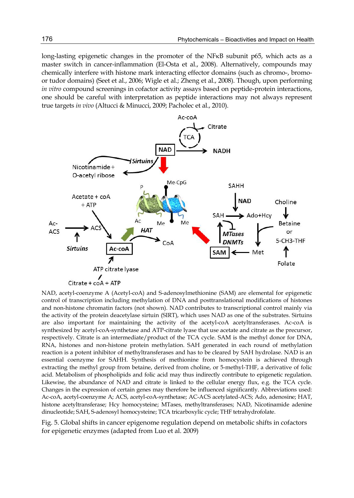long-lasting epigenetic changes in the promoter of the  $NFKB$  subunit p65, which acts as a master switch in cancer-inflammation (El-Osta et al., 2008). Alternatively, compounds may chemically interfere with histone mark interacting effector domains (such as chromo-, bromoor tudor domains) (Seet et al., 2006; Wigle et al.; Zheng et al., 2008). Though, upon performing *in vitro* compound screenings in cofactor activity assays based on peptide-protein interactions, one should be careful with interpretation as peptide interactions may not always represent true targets *in vivo* (Altucci & Minucci, 2009; Pacholec et al., 2010).



NAD, acetyl-coenzyme A (Acetyl-coA) and S-adenosylmethionine (SAM) are elemental for epigenetic control of transcription including methylation of DNA and posttranslational modifications of histones and non-histone chromatin factors (not shown). NAD contributes to transcriptional control mainly via the activity of the protein deacetylase sirtuin (SIRT), which uses NAD as one of the substrates. Sirtuins are also important for maintaining the activity of the acetyl-coA acetyltransferases. Ac-coA is synthesized by acetyl-coA-synthetase and ATP-citrate lyase that use acetate and citrate as the precursor, respectively. Citrate is an intermediate/product of the TCA cycle. SAM is the methyl donor for DNA, RNA, histones and non-histone protein methylation. SAH generated in each round of methylation reaction is a potent inhibitor of methyltransferases and has to be cleared by SAH hydrolase. NAD is an essential coenzyme for SAHH. Synthesis of methionine from homocystein is achieved through extracting the methyl group from betaine, derived from choline, or 5-methyl-THF, a derivative of folic acid. Metabolism of phospholipids and folic acid may thus indirectly contribute to epigenetic regulation. Likewise, the abundance of NAD and citrate is linked to the cellular energy flux, e.g. the TCA cycle. Changes in the expression of certain genes may therefore be influenced significantly. Abbreviations used: Ac-coA, acetyl-coenzyme A; ACS, acetyl-coA-synthetase; AC-ACS acetylated-ACS; Ado, adenosine; HAT, histone acetyltransferase; Hcy homocysteine; MTases, methyltransferases; NAD, Nicotinamide adenine dinucleotide; SAH, S-adenosyl homocysteine; TCA tricarboxylic cycle; THF tetrahydrofolate.

Fig. 5. Global shifts in cancer epigenome regulation depend on metabolic shifts in cofactors for epigenetic enzymes (adapted from Luo et al. 2009)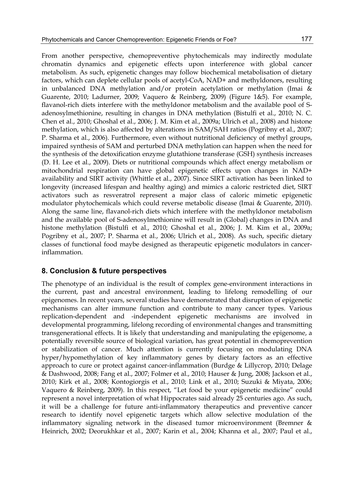From another perspective, chemopreventive phytochemicals may indirectly modulate chromatin dynamics and epigenetic effects upon interference with global cancer metabolism. As such, epigenetic changes may follow biochemical metabolisation of dietary factors, which can deplete cellular pools of acetyl-CoA, NAD+ and methyldonors, resulting in unbalanced DNA methylation and/or protein acetylation or methylation (Imai & Guarente, 2010; Ladurner, 2009; Vaquero & Reinberg, 2009) (Figure 1&5). For example, flavanol-rich diets interfere with the methyldonor metabolism and the available pool of Sadenosylmethionine, resulting in changes in DNA methylation (Bistulfi et al., 2010; N. C. Chen et al., 2010; Ghoshal et al., 2006; J. M. Kim et al., 2009a; Ulrich et al., 2008) and histone methylation, which is also affected by alterations in SAM/SAH ratios (Pogribny et al., 2007; P. Sharma et al., 2006). Furthermore, even without nutritional deficiency of methyl groups, impaired synthesis of SAM and perturbed DNA methylation can happen when the need for the synthesis of the detoxification enzyme glutathione transferase (GSH) synthesis increases (D. H. Lee et al., 2009). Diets or nutritional compounds which affect energy metabolism or mitochondrial respiration can have global epigenetic effects upon changes in NAD+ availability and SIRT activity (Whittle et al., 2007). Since SIRT activation has been linked to longevity (increased lifespan and healthy aging) and mimics a caloric restricted diet, SIRT activators such as resveratrol represent a major class of caloric mimetic epigenetic modulator phytochemicals which could reverse metabolic disease (Imai & Guarente, 2010). Along the same line, flavanol-rich diets which interfere with the methyldonor metabolism and the available pool of S-adenosylmethionine will result in (Global) changes in DNA and histone methylation (Bistulfi et al., 2010; Ghoshal et al., 2006; J. M. Kim et al., 2009a; Pogribny et al., 2007; P. Sharma et al., 2006; Ulrich et al., 2008). As such, specific dietary classes of functional food maybe designed as therapeutic epigenetic modulators in cancerinflammation.

#### **8. Conclusion & future perspectives**

The phenotype of an individual is the result of complex gene-environment interactions in the current, past and ancestral environment, leading to lifelong remodelling of our epigenomes. In recent years, several studies have demonstrated that disruption of epigenetic mechanisms can alter immune function and contribute to many cancer types. Various replication-dependent and -independent epigenetic mechanisms are involved in developmental programming, lifelong recording of environmental changes and transmitting transgenerational effects. It is likely that understanding and manipulating the epigenome, a potentially reversible source of biological variation, has great potential in chemoprevention or stabilization of cancer. Much attention is currently focusing on modulating DNA hyper/hypomethylation of key inflammatory genes by dietary factors as an effective approach to cure or protect against cancer-inflammation (Burdge & Lillycrop, 2010; Delage & Dashwood, 2008; Fang et al., 2007; Folmer et al., 2010; Hauser & Jung, 2008; Jackson et al., 2010; Kirk et al., 2008; Kontogiorgis et al., 2010; Link et al., 2010; Suzuki & Miyata, 2006; Vaquero & Reinberg, 2009). In this respect, "Let food be your epigenetic medicine" could represent a novel interpretation of what Hippocrates said already 25 centuries ago. As such, it will be a challenge for future anti-inflammatory therapeutics and preventive cancer research to identify novel epigenetic targets which allow selective modulation of the inflammatory signaling network in the diseased tumor microenvironment (Bremner & Heinrich, 2002; Deorukhkar et al., 2007; Karin et al., 2004; Khanna et al., 2007; Paul et al.,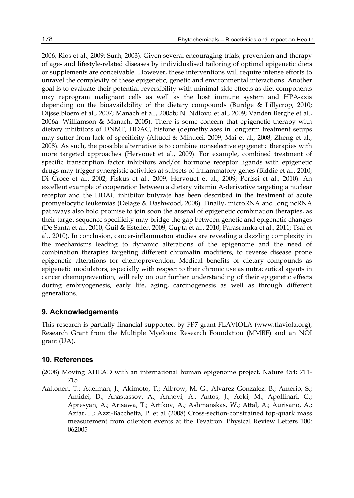2006; Rios et al., 2009; Surh, 2003). Given several encouraging trials, prevention and therapy of age- and lifestyle-related diseases by individualised tailoring of optimal epigenetic diets or supplements are conceivable. However, these interventions will require intense efforts to unravel the complexity of these epigenetic, genetic and environmental interactions. Another goal is to evaluate their potential reversibility with minimal side effects as diet components may reprogram malignant cells as well as the host immune system and HPA-axis depending on the bioavailability of the dietary compounds (Burdge & Lillycrop, 2010; Dijsselbloem et al., 2007; Manach et al., 2005b; N. Ndlovu et al., 2009; Vanden Berghe et al., 2006a; Williamson & Manach, 2005). There is some concern that epigenetic therapy with dietary inhibitors of DNMT, HDAC, histone (de)methylases in longterm treatment setups may suffer from lack of specificity (Altucci & Minucci, 2009; Mai et al., 2008; Zheng et al., 2008). As such, the possible alternative is to combine nonselective epigenetic therapies with more targeted approaches (Hervouet et al., 2009). For example, combined treatment of specific transcription factor inhibitors and/or hormone receptor ligands with epigenetic drugs may trigger synergistic activities at subsets of inflammatory genes (Biddie et al., 2010; Di Croce et al., 2002; Fiskus et al., 2009; Hervouet et al., 2009; Perissi et al., 2010). An excellent example of cooperation between a dietary vitamin A-derivative targeting a nuclear receptor and the HDAC inhibitor butyrate has been described in the treatment of acute promyelocytic leukemias (Delage & Dashwood, 2008). Finally, microRNA and long ncRNA pathways also hold promise to join soon the arsenal of epigenetic combination therapies, as their target sequence specificity may bridge the gap between genetic and epigenetic changes (De Santa et al., 2010; Guil & Esteller, 2009; Gupta et al., 2010; Parasramka et al., 2011; Tsai et al., 2010). In conclusion, cancer-inflammaton studies are revealing a dazzling complexity in the mechanisms leading to dynamic alterations of the epigenome and the need of combination therapies targeting different chromatin modifiers, to reverse disease prone epigenetic alterations for chemoprevention. Medical benefits of dietary compounds as epigenetic modulators, especially with respect to their chronic use as nutraceutical agents in cancer chemoprevention, will rely on our further understanding of their epigenetic effects during embryogenesis, early life, aging, carcinogenesis as well as through different generations.

#### **9. Acknowledgements**

This research is partially financial supported by FP7 grant FLAVIOLA (www.flaviola.org), Research Grant from the Multiple Myeloma Research Foundation (MMRF) and an NOI grant (UA).

#### **10. References**

- (2008) Moving AHEAD with an international human epigenome project. Nature 454: 711- 715
- Aaltonen, T.; Adelman, J.; Akimoto, T.; Albrow, M. G.; Alvarez Gonzalez, B.; Amerio, S.; Amidei, D.; Anastassov, A.; Annovi, A.; Antos, J.; Aoki, M.; Apollinari, G.; Apresyan, A.; Arisawa, T.; Artikov, A.; Ashmanskas, W.; Attal, A.; Aurisano, A.; Azfar, F.; Azzi-Bacchetta, P. et al (2008) Cross-section-constrained top-quark mass measurement from dilepton events at the Tevatron. Physical Review Letters 100: 062005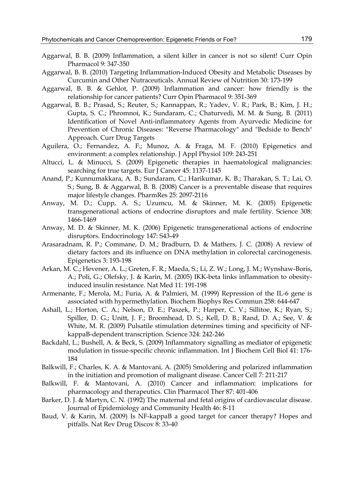- Aggarwal, B. B. (2009) Inflammation, a silent killer in cancer is not so silent! Curr Opin Pharmacol 9: 347-350
- Aggarwal, B. B. (2010) Targeting Inflammation-Induced Obesity and Metabolic Diseases by Curcumin and Other Nutraceuticals. Annual Review of Nutrition 30: 173-199
- Aggarwal, B. B. & Gehlot, P. (2009) Inflammation and cancer: how friendly is the relationship for cancer patients? Curr Opin Pharmacol 9: 351-369
- Aggarwal, B. B.; Prasad, S.; Reuter, S.; Kannappan, R.; Yadev, V. R.; Park, B.; Kim, J. H.; Gupta, S. C.; Phromnoi, K.; Sundaram, C.; Chaturvedi, M. M. & Sung, B. (2011) Identification of Novel Anti-inflammatory Agents from Ayurvedic Medicine for Prevention of Chronic Diseases: "Reverse Pharmacology" and "Bedside to Bench" Approach. Curr Drug Targets
- Aguilera, O.; Fernandez, A. F.; Munoz, A. & Fraga, M. F. (2010) Epigenetics and environment: a complex relationship. J Appl Physiol 109: 243-251
- Altucci, L. & Minucci, S. (2009) Epigenetic therapies in haematological malignancies: searching for true targets. Eur J Cancer 45: 1137-1145
- Anand, P.; Kunnumakkara, A. B.; Sundaram, C.; Harikumar, K. B.; Tharakan, S. T.; Lai, O. S.; Sung, B. & Aggarwal, B. B. (2008) Cancer is a preventable disease that requires major lifestyle changes. PharmRes 25: 2097-2116
- Anway, M. D.; Cupp, A. S.; Uzumcu, M. & Skinner, M. K. (2005) Epigenetic transgenerational actions of endocrine disruptors and male fertility. Science 308: 1466-1469
- Anway, M. D. & Skinner, M. K. (2006) Epigenetic transgenerational actions of endocrine disruptors. Endocrinology 147: S43-49
- Arasaradnam, R. P.; Commane, D. M.; Bradburn, D. & Mathers, J. C. (2008) A review of dietary factors and its influence on DNA methylation in colorectal carcinogenesis. Epigenetics 3: 193-198
- Arkan, M. C.; Hevener, A. L.; Greten, F. R.; Maeda, S.; Li, Z. W.; Long, J. M.; Wynshaw-Boris, A.; Poli, G.; Olefsky, J. & Karin, M. (2005) IKK-beta links inflammation to obesityinduced insulin resistance. Nat Med 11: 191-198
- Armenante, F.; Merola, M.; Furia, A. & Palmieri, M. (1999) Repression of the IL-6 gene is associated with hypermethylation. Biochem Biophys Res Commun 258: 644-647
- Ashall, L.; Horton, C. A.; Nelson, D. E.; Paszek, P.; Harper, C. V.; Sillitoe, K.; Ryan, S.; Spiller, D. G.; Unitt, J. F.; Broomhead, D. S.; Kell, D. B.; Rand, D. A.; See, V. & White, M. R. (2009) Pulsatile stimulation determines timing and specificity of NFkappaB-dependent transcription. Science 324: 242-246
- Backdahl, L.; Bushell, A. & Beck, S. (2009) Inflammatory signalling as mediator of epigenetic modulation in tissue-specific chronic inflammation. Int J Biochem Cell Biol 41: 176- 184
- Balkwill, F.; Charles, K. A. & Mantovani, A. (2005) Smoldering and polarized inflammation in the initiation and promotion of malignant disease. Cancer Cell 7: 211-217
- Balkwill, F. & Mantovani, A. (2010) Cancer and inflammation: implications for pharmacology and therapeutics. Clin Pharmacol Ther 87: 401-406
- Barker, D. J. & Martyn, C. N. (1992) The maternal and fetal origins of cardiovascular disease. Journal of Epidemiology and Community Health 46: 8-11
- Baud, V. & Karin, M. (2009) Is NF-kappaB a good target for cancer therapy? Hopes and pitfalls. Nat Rev Drug Discov 8: 33-40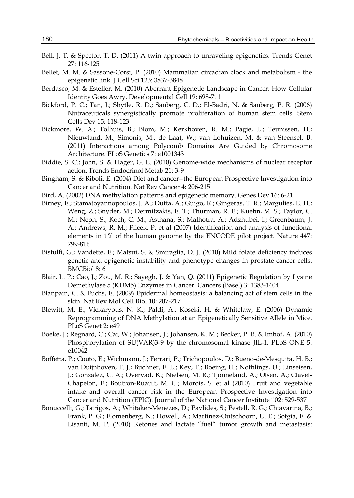- Bell, J. T. & Spector, T. D. (2011) A twin approach to unraveling epigenetics. Trends Genet 27: 116-125
- Bellet, M. M. & Sassone-Corsi, P. (2010) Mammalian circadian clock and metabolism the epigenetic link. J Cell Sci 123: 3837-3848
- Berdasco, M. & Esteller, M. (2010) Aberrant Epigenetic Landscape in Cancer: How Cellular Identity Goes Awry. Developmental Cell 19: 698-711
- Bickford, P. C.; Tan, J.; Shytle, R. D.; Sanberg, C. D.; El-Badri, N. & Sanberg, P. R. (2006) Nutraceuticals synergistically promote proliferation of human stem cells. Stem Cells Dev 15: 118-123
- Bickmore, W. A.; Tolhuis, B.; Blom, M.; Kerkhoven, R. M.; Pagie, L.; Teunissen, H.; Nieuwland, M.; Simonis, M.; de Laat, W.; van Lohuizen, M. & van Steensel, B. (2011) Interactions among Polycomb Domains Are Guided by Chromosome Architecture. PLoS Genetics 7: e1001343
- Biddie, S. C.; John, S. & Hager, G. L. (2010) Genome-wide mechanisms of nuclear receptor action. Trends Endocrinol Metab 21: 3-9
- Bingham, S. & Riboli, E. (2004) Diet and cancer--the European Prospective Investigation into Cancer and Nutrition. Nat Rev Cancer 4: 206-215
- Bird, A. (2002) DNA methylation patterns and epigenetic memory. Genes Dev 16: 6-21
- Birney, E.; Stamatoyannopoulos, J. A.; Dutta, A.; Guigo, R.; Gingeras, T. R.; Margulies, E. H.; Weng, Z.; Snyder, M.; Dermitzakis, E. T.; Thurman, R. E.; Kuehn, M. S.; Taylor, C. M.; Neph, S.; Koch, C. M.; Asthana, S.; Malhotra, A.; Adzhubei, I.; Greenbaum, J. A.; Andrews, R. M.; Flicek, P. et al (2007) Identification and analysis of functional elements in 1% of the human genome by the ENCODE pilot project. Nature 447: 799-816
- Bistulfi, G.; Vandette, E.; Matsui, S. & Smiraglia, D. J. (2010) Mild folate deficiency induces genetic and epigenetic instability and phenotype changes in prostate cancer cells. BMCBiol 8: 6
- Blair, L. P.; Cao, J.; Zou, M. R.; Sayegh, J. & Yan, Q. (2011) Epigenetic Regulation by Lysine Demethylase 5 (KDM5) Enzymes in Cancer. Cancers (Basel) 3: 1383-1404
- Blanpain, C. & Fuchs, E. (2009) Epidermal homeostasis: a balancing act of stem cells in the skin. Nat Rev Mol Cell Biol 10: 207-217
- Blewitt, M. E.; Vickaryous, N. K.; Paldi, A.; Koseki, H. & Whitelaw, E. (2006) Dynamic Reprogramming of DNA Methylation at an Epigenetically Sensitive Allele in Mice. PLoS Genet 2: e49
- Boeke, J.; Regnard, C.; Cai, W.; Johansen, J.; Johansen, K. M.; Becker, P. B. & Imhof, A. (2010) Phosphorylation of SU(VAR)3-9 by the chromosomal kinase JIL-1. PLoS ONE 5: e10042
- Boffetta, P.; Couto, E.; Wichmann, J.; Ferrari, P.; Trichopoulos, D.; Bueno-de-Mesquita, H. B.; van Duijnhoven, F. J.; Buchner, F. L.; Key, T.; Boeing, H.; Nothlings, U.; Linseisen, J.; Gonzalez, C. A.; Overvad, K.; Nielsen, M. R.; Tjonneland, A.; Olsen, A.; Clavel-Chapelon, F.; Boutron-Ruault, M. C.; Morois, S. et al (2010) Fruit and vegetable intake and overall cancer risk in the European Prospective Investigation into Cancer and Nutrition (EPIC). Journal of the National Cancer Institute 102: 529-537
- Bonuccelli, G.; Tsirigos, A.; Whitaker-Menezes, D.; Pavlides, S.; Pestell, R. G.; Chiavarina, B.; Frank, P. G.; Flomenberg, N.; Howell, A.; Martinez-Outschoorn, U. E.; Sotgia, F. & Lisanti, M. P. (2010) Ketones and lactate "fuel" tumor growth and metastasis: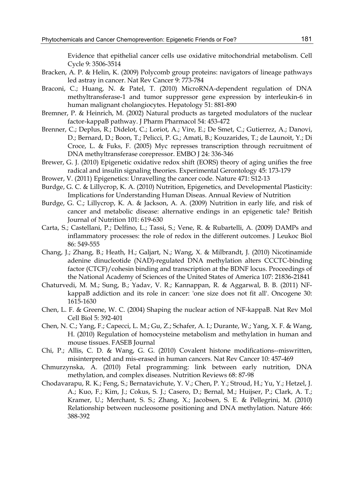Evidence that epithelial cancer cells use oxidative mitochondrial metabolism. Cell Cycle 9: 3506-3514

- Bracken, A. P. & Helin, K. (2009) Polycomb group proteins: navigators of lineage pathways led astray in cancer. Nat Rev Cancer 9: 773-784
- Braconi, C.; Huang, N. & Patel, T. (2010) MicroRNA-dependent regulation of DNA methyltransferase-1 and tumor suppressor gene expression by interleukin-6 in human malignant cholangiocytes. Hepatology 51: 881-890
- Bremner, P. & Heinrich, M. (2002) Natural products as targeted modulators of the nuclear factor-kappaB pathway. J Pharm Pharmacol 54: 453-472
- Brenner, C.; Deplus, R.; Didelot, C.; Loriot, A.; Vire, E.; De Smet, C.; Gutierrez, A.; Danovi, D.; Bernard, D.; Boon, T.; Pelicci, P. G.; Amati, B.; Kouzarides, T.; de Launoit, Y.; Di Croce, L. & Fuks, F. (2005) Myc represses transcription through recruitment of DNA methyltransferase corepressor. EMBO J 24: 336-346
- Brewer, G. J. (2010) Epigenetic oxidative redox shift (EORS) theory of aging unifies the free radical and insulin signaling theories. Experimental Gerontology 45: 173-179
- Brower, V. (2011) Epigenetics: Unravelling the cancer code. Nature 471: S12-13
- Burdge, G. C. & Lillycrop, K. A. (2010) Nutrition, Epigenetics, and Developmental Plasticity: Implications for Understanding Human Diseas. Annual Review of Nutrition
- Burdge, G. C.; Lillycrop, K. A. & Jackson, A. A. (2009) Nutrition in early life, and risk of cancer and metabolic disease: alternative endings in an epigenetic tale? British Journal of Nutrition 101: 619-630
- Carta, S.; Castellani, P.; Delfino, L.; Tassi, S.; Vene, R. & Rubartelli, A. (2009) DAMPs and inflammatory processes: the role of redox in the different outcomes. J Leukoc Biol 86: 549-555
- Chang, J.; Zhang, B.; Heath, H.; Galjart, N.; Wang, X. & Milbrandt, J. (2010) Nicotinamide adenine dinucleotide (NAD)-regulated DNA methylation alters CCCTC-binding factor (CTCF)/cohesin binding and transcription at the BDNF locus. Proceedings of the National Academy of Sciences of the United States of America 107: 21836-21841
- Chaturvedi, M. M.; Sung, B.; Yadav, V. R.; Kannappan, R. & Aggarwal, B. B. (2011) NFkappaB addiction and its role in cancer: 'one size does not fit all'. Oncogene 30: 1615-1630
- Chen, L. F. & Greene, W. C. (2004) Shaping the nuclear action of NF-kappaB. Nat Rev Mol Cell Biol 5: 392-401
- Chen, N. C.; Yang, F.; Capecci, L. M.; Gu, Z.; Schafer, A. I.; Durante, W.; Yang, X. F. & Wang, H. (2010) Regulation of homocysteine metabolism and methylation in human and mouse tissues. FASEB Journal
- Chi, P.; Allis, C. D. & Wang, G. G. (2010) Covalent histone modifications--miswritten, misinterpreted and mis-erased in human cancers. Nat Rev Cancer 10: 457-469
- Chmurzynska, A. (2010) Fetal programming: link between early nutrition, DNA methylation, and complex diseases. Nutrition Reviews 68: 87-98
- Chodavarapu, R. K.; Feng, S.; Bernatavichute, Y. V.; Chen, P. Y.; Stroud, H.; Yu, Y.; Hetzel, J. A.; Kuo, F.; Kim, J.; Cokus, S. J.; Casero, D.; Bernal, M.; Huijser, P.; Clark, A. T.; Kramer, U.; Merchant, S. S.; Zhang, X.; Jacobsen, S. E. & Pellegrini, M. (2010) Relationship between nucleosome positioning and DNA methylation. Nature 466: 388-392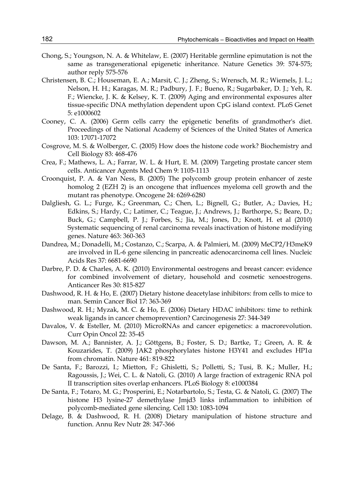- Chong, S.; Youngson, N. A. & Whitelaw, E. (2007) Heritable germline epimutation is not the same as transgenerational epigenetic inheritance. Nature Genetics 39: 574-575; author reply 575-576
- Christensen, B. C.; Houseman, E. A.; Marsit, C. J.; Zheng, S.; Wrensch, M. R.; Wiemels, J. L.; Nelson, H. H.; Karagas, M. R.; Padbury, J. F.; Bueno, R.; Sugarbaker, D. J.; Yeh, R. F.; Wiencke, J. K. & Kelsey, K. T. (2009) Aging and environmental exposures alter tissue-specific DNA methylation dependent upon CpG island context. PLoS Genet 5: e1000602
- Cooney, C. A. (2006) Germ cells carry the epigenetic benefits of grandmother's diet. Proceedings of the National Academy of Sciences of the United States of America 103: 17071-17072
- Cosgrove, M. S. & Wolberger, C. (2005) How does the histone code work? Biochemistry and Cell Biology 83: 468-476
- Crea, F.; Mathews, L. A.; Farrar, W. L. & Hurt, E. M. (2009) Targeting prostate cancer stem cells. Anticancer Agents Med Chem 9: 1105-1113
- Croonquist, P. A. & Van Ness, B. (2005) The polycomb group protein enhancer of zeste homolog 2 (EZH 2) is an oncogene that influences myeloma cell growth and the mutant ras phenotype. Oncogene 24: 6269-6280
- Dalgliesh, G. L.; Furge, K.; Greenman, C.; Chen, L.; Bignell, G.; Butler, A.; Davies, H.; Edkins, S.; Hardy, C.; Latimer, C.; Teague, J.; Andrews, J.; Barthorpe, S.; Beare, D.; Buck, G.; Campbell, P. J.; Forbes, S.; Jia, M.; Jones, D.; Knott, H. et al (2010) Systematic sequencing of renal carcinoma reveals inactivation of histone modifying genes. Nature 463: 360-363
- Dandrea, M.; Donadelli, M.; Costanzo, C.; Scarpa, A. & Palmieri, M. (2009) MeCP2/H3meK9 are involved in IL-6 gene silencing in pancreatic adenocarcinoma cell lines. Nucleic Acids Res 37: 6681-6690
- Darbre, P. D. & Charles, A. K. (2010) Environmental oestrogens and breast cancer: evidence for combined involvement of dietary, household and cosmetic xenoestrogens. Anticancer Res 30: 815-827
- Dashwood, R. H. & Ho, E. (2007) Dietary histone deacetylase inhibitors: from cells to mice to man. Semin Cancer Biol 17: 363-369
- Dashwood, R. H.; Myzak, M. C. & Ho, E. (2006) Dietary HDAC inhibitors: time to rethink weak ligands in cancer chemoprevention? Carcinogenesis 27: 344-349
- Davalos, V. & Esteller, M. (2010) MicroRNAs and cancer epigenetics: a macrorevolution. Curr Opin Oncol 22: 35-45
- Dawson, M. A.; Bannister, A. J.; Göttgens, B.; Foster, S. D.; Bartke, T.; Green, A. R. & Kouzarides, T. (2009) JAK2 phosphorylates histone H3Y41 and excludes HP1α from chromatin. Nature 461: 819-822
- De Santa, F.; Barozzi, I.; Mietton, F.; Ghisletti, S.; Polletti, S.; Tusi, B. K.; Muller, H.; Ragoussis, J.; Wei, C. L. & Natoli, G. (2010) A large fraction of extragenic RNA pol II transcription sites overlap enhancers. PLoS Biology 8: e1000384
- De Santa, F.; Totaro, M. G.; Prosperini, E.; Notarbartolo, S.; Testa, G. & Natoli, G. (2007) The histone H3 lysine-27 demethylase Imjd3 links inflammation to inhibition of polycomb-mediated gene silencing. Cell 130: 1083-1094
- Delage, B. & Dashwood, R. H. (2008) Dietary manipulation of histone structure and function. Annu Rev Nutr 28: 347-366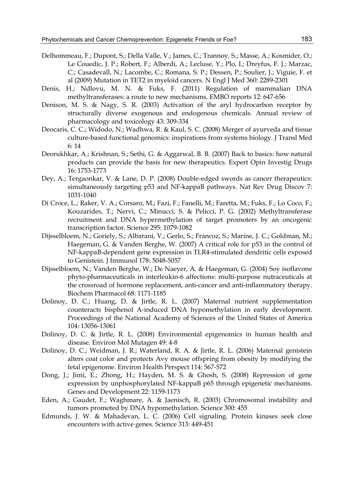- Delhommeau, F.; Dupont, S.; Della Valle, V.; James, C.; Trannoy, S.; Masse, A.; Kosmider, O.; Le Couedic, J. P.; Robert, F.; Alberdi, A.; Lecluse, Y.; Plo, I.; Dreyfus, F. J.; Marzac, C.; Casadevall, N.; Lacombe, C.; Romana, S. P.; Dessen, P.; Soulier, J.; Viguie, F. et al (2009) Mutation in TET2 in myeloid cancers. N Engl J Med 360: 2289-2301
- Denis, H.; Ndlovu, M. N. & Fuks, F. (2011) Regulation of mammalian DNA methyltransferases: a route to new mechanisms. EMBO reports 12: 647-656
- Denison, M. S. & Nagy, S. R. (2003) Activation of the aryl hydrocarbon receptor by structurally diverse exogenous and endogenous chemicals. Annual review of pharmacology and toxicology 43: 309-334
- Deocaris, C. C.; Widodo, N.; Wadhwa, R. & Kaul, S. C. (2008) Merger of ayurveda and tissue culture-based functional genomics: inspirations from systems biology. J Transl Med 6: 14
- Deorukhkar, A.; Krishnan, S.; Sethi, G. & Aggarwal, B. B. (2007) Back to basics: how natural products can provide the basis for new therapeutics. Expert Opin Investig Drugs 16: 1753-1773
- Dey, A.; Tergaonkar, V. & Lane, D. P. (2008) Double-edged swords as cancer therapeutics: simultaneously targeting p53 and NF-kappaB pathways. Nat Rev Drug Discov 7: 1031-1040
- Di Croce, L.; Raker, V. A.; Corsaro, M.; Fazi, F.; Fanelli, M.; Faretta, M.; Fuks, F.; Lo Coco, F.; Kouzarides, T.; Nervi, C.; Minucci, S. & Pelicci, P. G. (2002) Methyltransferase recruitment and DNA hypermethylation of target promoters by an oncogenic transcription factor. Science 295: 1079-1082
- Dijsselbloem, N.; Goriely, S.; Albarani, V.; Gerlo, S.; Francoz, S.; Marine, J. C.; Goldman, M.; Haegeman, G. & Vanden Berghe, W. (2007) A critical role for p53 in the control of NF-kappaB-dependent gene expression in TLR4-stimulated dendritic cells exposed to Genistein. J Immunol 178: 5048-5057
- Dijsselbloem, N.; Vanden Berghe, W.; De Naeyer, A. & Haegeman, G. (2004) Soy isoflavone phyto-pharmaceuticals in interleukin-6 affections: multi-purpose nutraceuticals at the crossroad of hormone replacement, anti-cancer and anti-inflammatory therapy. Biochem Pharmacol 68: 1171-1185
- Dolinoy, D. C.; Huang, D. & Jirtle, R. L. (2007) Maternal nutrient supplementation counteracts bisphenol A-induced DNA hypomethylation in early development. Proceedings of the National Academy of Sciences of the United States of America 104: 13056-13061
- Dolinoy, D. C. & Jirtle, R. L. (2008) Environmental epigenomics in human health and disease. Environ Mol Mutagen 49: 4-8
- Dolinoy, D. C.; Weidman, J. R.; Waterland, R. A. & Jirtle, R. L. (2006) Maternal genistein alters coat color and protects Avy mouse offspring from obesity by modifying the fetal epigenome. Environ Health Perspect 114: 567-572
- Dong, J.; Jimi, E.; Zhong, H.; Hayden, M. S. & Ghosh, S. (2008) Repression of gene expression by unphosphorylated NF-kappaB p65 through epigenetic mechanisms. Genes and Development 22: 1159-1173
- Eden, A.; Gaudet, F.; Waghmare, A. & Jaenisch, R. (2003) Chromosomal instability and tumors promoted by DNA hypomethylation. Science 300: 455
- Edmunds, J. W. & Mahadevan, L. C. (2006) Cell signaling. Protein kinases seek close encounters with active genes. Science 313: 449-451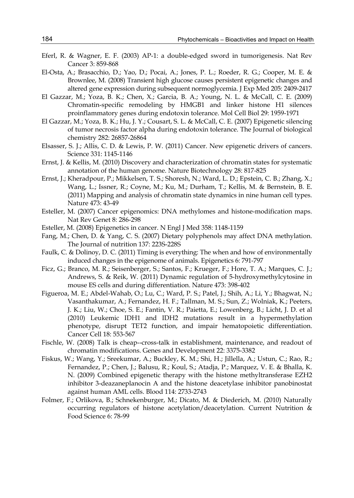- Eferl, R. & Wagner, E. F. (2003) AP-1: a double-edged sword in tumorigenesis. Nat Rev Cancer 3: 859-868
- El-Osta, A.; Brasacchio, D.; Yao, D.; Pocai, A.; Jones, P. L.; Roeder, R. G.; Cooper, M. E. & Brownlee, M. (2008) Transient high glucose causes persistent epigenetic changes and altered gene expression during subsequent normoglycemia. J Exp Med 205: 2409-2417
- El Gazzar, M.; Yoza, B. K.; Chen, X.; Garcia, B. A.; Young, N. L. & McCall, C. E. (2009) Chromatin-specific remodeling by HMGB1 and linker histone H1 silences proinflammatory genes during endotoxin tolerance. Mol Cell Biol 29: 1959-1971
- El Gazzar, M.; Yoza, B. K.; Hu, J. Y.; Cousart, S. L. & McCall, C. E. (2007) Epigenetic silencing of tumor necrosis factor alpha during endotoxin tolerance. The Journal of biological chemistry 282: 26857-26864
- Elsasser, S. J.; Allis, C. D. & Lewis, P. W. (2011) Cancer. New epigenetic drivers of cancers. Science 331: 1145-1146
- Ernst, J. & Kellis, M. (2010) Discovery and characterization of chromatin states for systematic annotation of the human genome. Nature Biotechnology 28: 817-825
- Ernst, J.; Kheradpour, P.; Mikkelsen, T. S.; Shoresh, N.; Ward, L. D.; Epstein, C. B.; Zhang, X.; Wang, L.; Issner, R.; Coyne, M.; Ku, M.; Durham, T.; Kellis, M. & Bernstein, B. E. (2011) Mapping and analysis of chromatin state dynamics in nine human cell types. Nature 473: 43-49
- Esteller, M. (2007) Cancer epigenomics: DNA methylomes and histone-modification maps. Nat Rev Genet 8: 286-298
- Esteller, M. (2008) Epigenetics in cancer. N Engl J Med 358: 1148-1159
- Fang, M.; Chen, D. & Yang, C. S. (2007) Dietary polyphenols may affect DNA methylation. The Journal of nutrition 137: 223S-228S
- Faulk, C. & Dolinoy, D. C. (2011) Timing is everything: The when and how of environmentally induced changes in the epigenome of animals. Epigenetics 6: 791-797
- Ficz, G.; Branco, M. R.; Seisenberger, S.; Santos, F.; Krueger, F.; Hore, T. A.; Marques, C. J.; Andrews, S. & Reik, W. (2011) Dynamic regulation of 5-hydroxymethylcytosine in mouse ES cells and during differentiation. Nature 473: 398-402
- Figueroa, M. E.; Abdel-Wahab, O.; Lu, C.; Ward, P. S.; Patel, J.; Shih, A.; Li, Y.; Bhagwat, N.; Vasanthakumar, A.; Fernandez, H. F.; Tallman, M. S.; Sun, Z.; Wolniak, K.; Peeters, J. K.; Liu, W.; Choe, S. E.; Fantin, V. R.; Paietta, E.; Lowenberg, B.; Licht, J. D. et al (2010) Leukemic IDH1 and IDH2 mutations result in a hypermethylation phenotype, disrupt TET2 function, and impair hematopoietic differentiation. Cancer Cell 18: 553-567
- Fischle, W. (2008) Talk is cheap--cross-talk in establishment, maintenance, and readout of chromatin modifications. Genes and Development 22: 3375-3382
- Fiskus, W.; Wang, Y.; Sreekumar, A.; Buckley, K. M.; Shi, H.; Jillella, A.; Ustun, C.; Rao, R.; Fernandez, P.; Chen, J.; Balusu, R.; Koul, S.; Atadja, P.; Marquez, V. E. & Bhalla, K. N. (2009) Combined epigenetic therapy with the histone methyltransferase EZH2 inhibitor 3-deazaneplanocin A and the histone deacetylase inhibitor panobinostat against human AML cells. Blood 114: 2733-2743
- Folmer, F.; Orlikova, B.; Schnekenburger, M.; Dicato, M. & Diederich, M. (2010) Naturally occurring regulators of histone acetylation/deacetylation. Current Nutrition & Food Science 6: 78-99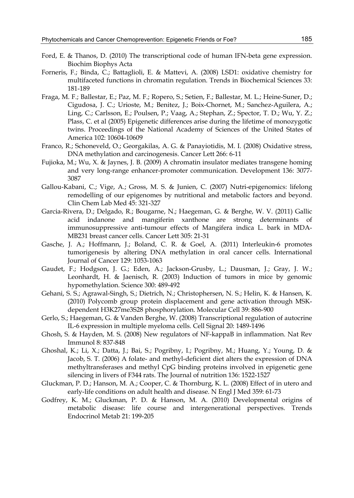- Ford, E. & Thanos, D. (2010) The transcriptional code of human IFN-beta gene expression. Biochim Biophys Acta
- Forneris, F.; Binda, C.; Battaglioli, E. & Mattevi, A. (2008) LSD1: oxidative chemistry for multifaceted functions in chromatin regulation. Trends in Biochemical Sciences 33: 181-189
- Fraga, M. F.; Ballestar, E.; Paz, M. F.; Ropero, S.; Setien, F.; Ballestar, M. L.; Heine-Suner, D.; Cigudosa, J. C.; Urioste, M.; Benitez, J.; Boix-Chornet, M.; Sanchez-Aguilera, A.; Ling, C.; Carlsson, E.; Poulsen, P.; Vaag, A.; Stephan, Z.; Spector, T. D.; Wu, Y. Z.; Plass, C. et al (2005) Epigenetic differences arise during the lifetime of monozygotic twins. Proceedings of the National Academy of Sciences of the United States of America 102: 10604-10609
- Franco, R.; Schoneveld, O.; Georgakilas, A. G. & Panayiotidis, M. I. (2008) Oxidative stress, DNA methylation and carcinogenesis. Cancer Lett 266: 6-11
- Fujioka, M.; Wu, X. & Jaynes, J. B. (2009) A chromatin insulator mediates transgene homing and very long-range enhancer-promoter communication. Development 136: 3077- 3087
- Gallou-Kabani, C.; Vige, A.; Gross, M. S. & Junien, C. (2007) Nutri-epigenomics: lifelong remodelling of our epigenomes by nutritional and metabolic factors and beyond. Clin Chem Lab Med 45: 321-327
- Garcia-Rivera, D.; Delgado, R.; Bougarne, N.; Haegeman, G. & Berghe, W. V. (2011) Gallic acid indanone and mangiferin xanthone are strong determinants of immunosuppressive anti-tumour effects of Mangifera indica L. bark in MDA-MB231 breast cancer cells. Cancer Lett 305: 21-31
- Gasche, J. A.; Hoffmann, J.; Boland, C. R. & Goel, A. (2011) Interleukin-6 promotes tumorigenesis by altering DNA methylation in oral cancer cells. International Journal of Cancer 129: 1053-1063
- Gaudet, F.; Hodgson, J. G.; Eden, A.; Jackson-Grusby, L.; Dausman, J.; Gray, J. W.; Leonhardt, H. & Jaenisch, R. (2003) Induction of tumors in mice by genomic hypomethylation. Science 300: 489-492
- Gehani, S. S.; Agrawal-Singh, S.; Dietrich, N.; Christophersen, N. S.; Helin, K. & Hansen, K. (2010) Polycomb group protein displacement and gene activation through MSKdependent H3K27me3S28 phosphorylation. Molecular Cell 39: 886-900
- Gerlo, S.; Haegeman, G. & Vanden Berghe, W. (2008) Transcriptional regulation of autocrine IL-6 expression in multiple myeloma cells. Cell Signal 20: 1489-1496
- Ghosh, S. & Hayden, M. S. (2008) New regulators of NF-kappaB in inflammation. Nat Rev Immunol 8: 837-848
- Ghoshal, K.; Li, X.; Datta, J.; Bai, S.; Pogribny, I.; Pogribny, M.; Huang, Y.; Young, D. & Jacob, S. T. (2006) A folate- and methyl-deficient diet alters the expression of DNA methyltransferases and methyl CpG binding proteins involved in epigenetic gene silencing in livers of F344 rats. The Journal of nutrition 136: 1522-1527
- Gluckman, P. D.; Hanson, M. A.; Cooper, C. & Thornburg, K. L. (2008) Effect of in utero and early-life conditions on adult health and disease. N Engl J Med 359: 61-73
- Godfrey, K. M.; Gluckman, P. D. & Hanson, M. A. (2010) Developmental origins of metabolic disease: life course and intergenerational perspectives. Trends Endocrinol Metab 21: 199-205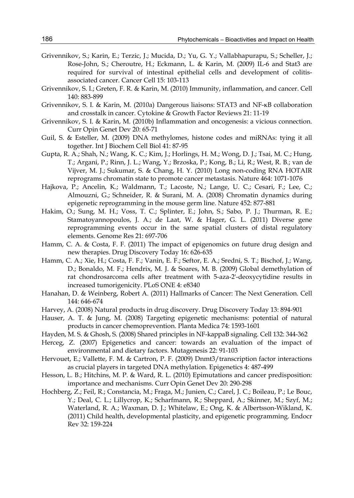- Grivennikov, S.; Karin, E.; Terzic, J.; Mucida, D.; Yu, G. Y.; Vallabhapurapu, S.; Scheller, J.; Rose-John, S.; Cheroutre, H.; Eckmann, L. & Karin, M. (2009) IL-6 and Stat3 are required for survival of intestinal epithelial cells and development of colitisassociated cancer. Cancer Cell 15: 103-113
- Grivennikov, S. I.; Greten, F. R. & Karin, M. (2010) Immunity, inflammation, and cancer. Cell 140: 883-899
- Grivennikov, S. I. & Karin, M. (2010a) Dangerous liaisons: STAT3 and NF-κB collaboration and crosstalk in cancer. Cytokine & Growth Factor Reviews 21: 11-19
- Grivennikov, S. I. & Karin, M. (2010b) Inflammation and oncogenesis: a vicious connection. Curr Opin Genet Dev 20: 65-71
- Guil, S. & Esteller, M. (2009) DNA methylomes, histone codes and miRNAs: tying it all together. Int J Biochem Cell Biol 41: 87-95
- Gupta, R. A.; Shah, N.; Wang, K. C.; Kim, J.; Horlings, H. M.; Wong, D. J.; Tsai, M. C.; Hung, T.; Argani, P.; Rinn, J. L.; Wang, Y.; Brzoska, P.; Kong, B.; Li, R.; West, R. B.; van de Vijver, M. J.; Sukumar, S. & Chang, H. Y. (2010) Long non-coding RNA HOTAIR reprograms chromatin state to promote cancer metastasis. Nature 464: 1071-1076
- Hajkova, P.; Ancelin, K.; Waldmann, T.; Lacoste, N.; Lange, U. C.; Cesari, F.; Lee, C.; Almouzni, G.; Schneider, R. & Surani, M. A. (2008) Chromatin dynamics during epigenetic reprogramming in the mouse germ line. Nature 452: 877-881
- Hakim, O.; Sung, M. H.; Voss, T. C.; Splinter, E.; John, S.; Sabo, P. J.; Thurman, R. E.; Stamatoyannopoulos, J. A.; de Laat, W. & Hager, G. L. (2011) Diverse gene reprogramming events occur in the same spatial clusters of distal regulatory elements. Genome Res 21: 697-706
- Hamm, C. A. & Costa, F. F. (2011) The impact of epigenomics on future drug design and new therapies. Drug Discovery Today 16: 626-635
- Hamm, C. A.; Xie, H.; Costa, F. F.; Vanin, E. F.; Seftor, E. A.; Sredni, S. T.; Bischof, J.; Wang, D.; Bonaldo, M. F.; Hendrix, M. J. & Soares, M. B. (2009) Global demethylation of rat chondrosarcoma cells after treatment with 5-aza-2'-deoxycytidine results in increased tumorigenicity. PLoS ONE 4: e8340
- Hanahan, D. & Weinberg, Robert A. (2011) Hallmarks of Cancer: The Next Generation. Cell 144: 646-674
- Harvey, A. (2008) Natural products in drug discovery. Drug Discovery Today 13: 894-901
- Hauser, A. T. & Jung, M. (2008) Targeting epigenetic mechanisms: potential of natural products in cancer chemoprevention. Planta Medica 74: 1593-1601
- Hayden, M. S. & Ghosh, S. (2008) Shared principles in NF-kappaB signaling. Cell 132: 344-362
- Herceg, Z. (2007) Epigenetics and cancer: towards an evaluation of the impact of environmental and dietary factors. Mutagenesis 22: 91-103
- Hervouet, E.; Vallette, F. M. & Cartron, P. F. (2009) Dnmt3/transcription factor interactions as crucial players in targeted DNA methylation. Epigenetics 4: 487-499
- Hesson, L. B.; Hitchins, M. P. & Ward, R. L. (2010) Epimutations and cancer predisposition: importance and mechanisms. Curr Opin Genet Dev 20: 290-298
- Hochberg, Z.; Feil, R.; Constancia, M.; Fraga, M.; Junien, C.; Carel, J. C.; Boileau, P.; Le Bouc, Y.; Deal, C. L.; Lillycrop, K.; Scharfmann, R.; Sheppard, A.; Skinner, M.; Szyf, M.; Waterland, R. A.; Waxman, D. J.; Whitelaw, E.; Ong, K. & Albertsson-Wikland, K. (2011) Child health, developmental plasticity, and epigenetic programming. Endocr Rev 32: 159-224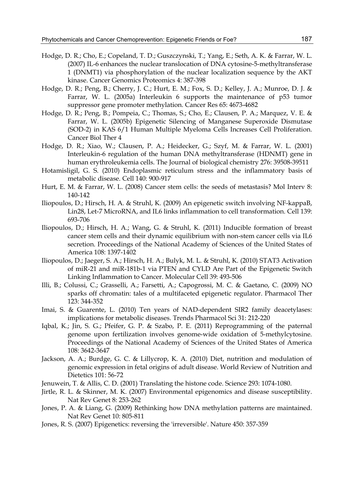- Hodge, D. R.; Cho, E.; Copeland, T. D.; Guszczynski, T.; Yang, E.; Seth, A. K. & Farrar, W. L. (2007) IL-6 enhances the nuclear translocation of DNA cytosine-5-methyltransferase 1 (DNMT1) via phosphorylation of the nuclear localization sequence by the AKT kinase. Cancer Genomics Proteomics 4: 387-398
- Hodge, D. R.; Peng, B.; Cherry, J. C.; Hurt, E. M.; Fox, S. D.; Kelley, J. A.; Munroe, D. J. & Farrar, W. L. (2005a) Interleukin 6 supports the maintenance of p53 tumor suppressor gene promoter methylation. Cancer Res 65: 4673-4682
- Hodge, D. R.; Peng, B.; Pompeia, C.; Thomas, S.; Cho, E.; Clausen, P. A.; Marquez, V. E. & Farrar, W. L. (2005b) Epigenetic Silencing of Manganese Superoxide Dismutase (SOD-2) in KAS 6/1 Human Multiple Myeloma Cells Increases Cell Proliferation. Cancer Biol Ther 4
- Hodge, D. R.; Xiao, W.; Clausen, P. A.; Heidecker, G.; Szyf, M. & Farrar, W. L. (2001) Interleukin-6 regulation of the human DNA methyltransferase (HDNMT) gene in human erythroleukemia cells. The Journal of biological chemistry 276: 39508-39511
- Hotamisligil, G. S. (2010) Endoplasmic reticulum stress and the inflammatory basis of metabolic disease. Cell 140: 900-917
- Hurt, E. M. & Farrar, W. L. (2008) Cancer stem cells: the seeds of metastasis? Mol Interv 8: 140-142
- Iliopoulos, D.; Hirsch, H. A. & Struhl, K. (2009) An epigenetic switch involving NF-kappaB, Lin28, Let-7 MicroRNA, and IL6 links inflammation to cell transformation. Cell 139: 693-706
- Iliopoulos, D.; Hirsch, H. A.; Wang, G. & Struhl, K. (2011) Inducible formation of breast cancer stem cells and their dynamic equilibrium with non-stem cancer cells via IL6 secretion. Proceedings of the National Academy of Sciences of the United States of America 108: 1397-1402
- Iliopoulos, D.; Jaeger, S. A.; Hirsch, H. A.; Bulyk, M. L. & Struhl, K. (2010) STAT3 Activation of miR-21 and miR-181b-1 via PTEN and CYLD Are Part of the Epigenetic Switch Linking Inflammation to Cancer. Molecular Cell 39: 493-506
- Illi, B.; Colussi, C.; Grasselli, A.; Farsetti, A.; Capogrossi, M. C. & Gaetano, C. (2009) NO sparks off chromatin: tales of a multifaceted epigenetic regulator. Pharmacol Ther 123: 344-352
- Imai, S. & Guarente, L. (2010) Ten years of NAD-dependent SIR2 family deacetylases: implications for metabolic diseases. Trends Pharmacol Sci 31: 212-220
- Iqbal, K.; Jin, S. G.; Pfeifer, G. P. & Szabo, P. E. (2011) Reprogramming of the paternal genome upon fertilization involves genome-wide oxidation of 5-methylcytosine. Proceedings of the National Academy of Sciences of the United States of America 108: 3642-3647
- Jackson, A. A.; Burdge, G. C. & Lillycrop, K. A. (2010) Diet, nutrition and modulation of genomic expression in fetal origins of adult disease. World Review of Nutrition and Dietetics 101: 56-72
- Jenuwein, T. & Allis, C. D. (2001) Translating the histone code. Science 293: 1074-1080.
- Jirtle, R. L. & Skinner, M. K. (2007) Environmental epigenomics and disease susceptibility. Nat Rev Genet 8: 253-262
- Jones, P. A. & Liang, G. (2009) Rethinking how DNA methylation patterns are maintained. Nat Rev Genet 10: 805-811
- Jones, R. S. (2007) Epigenetics: reversing the 'irreversible'. Nature 450: 357-359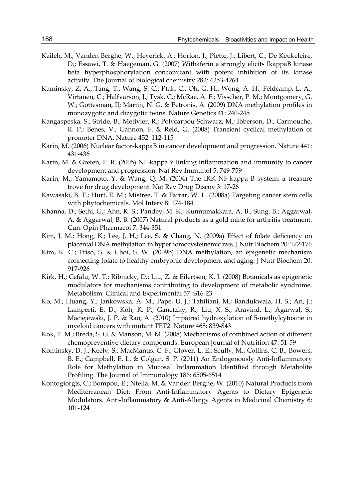- Kaileh, M.; Vanden Berghe, W.; Heyerick, A.; Horion, J.; Piette, J.; Libert, C.; De Keukeleire, D.; Essawi, T. & Haegeman, G. (2007) Withaferin a strongly elicits IkappaB kinase beta hyperphosphorylation concomitant with potent inhibition of its kinase activity. The Journal of biological chemistry 282: 4253-4264
- Kaminsky, Z. A.; Tang, T.; Wang, S. C.; Ptak, C.; Oh, G. H.; Wong, A. H.; Feldcamp, L. A.; Virtanen, C.; Halfvarson, J.; Tysk, C.; McRae, A. F.; Visscher, P. M.; Montgomery, G. W.; Gottesman, II; Martin, N. G. & Petronis, A. (2009) DNA methylation profiles in monozygotic and dizygotic twins. Nature Genetics 41: 240-245
- Kangaspeska, S.; Stride, B.; Metivier, R.; Polycarpou-Schwarz, M.; Ibberson, D.; Carmouche, R. P.; Benes, V.; Gannon, F. & Reid, G. (2008) Transient cyclical methylation of promoter DNA. Nature 452: 112-115
- Karin, M. (2006) Nuclear factor-kappaB in cancer development and progression. Nature 441: 431-436
- Karin, M. & Greten, F. R. (2005) NF-kappaB: linking inflammation and immunity to cancer development and progression. Nat Rev Immunol 5: 749-759
- Karin, M.; Yamamoto, Y. & Wang, Q. M. (2004) The IKK NF-kappa B system: a treasure trove for drug development. Nat Rev Drug Discov 3: 17-26
- Kawasaki, B. T.; Hurt, E. M.; Mistree, T. & Farrar, W. L. (2008a) Targeting cancer stem cells with phytochemicals. Mol Interv 8: 174-184
- Khanna, D.; Sethi, G.; Ahn, K. S.; Pandey, M. K.; Kunnumakkara, A. B.; Sung, B.; Aggarwal, A. & Aggarwal, B. B. (2007) Natural products as a gold mine for arthritis treatment. Curr Opin Pharmacol 7: 344-351
- Kim, J. M.; Hong, K.; Lee, J. H.; Lee, S. & Chang, N. (2009a) Effect of folate deficiency on placental DNA methylation in hyperhomocysteinemic rats. J Nutr Biochem 20: 172-176
- Kim, K. C.; Friso, S. & Choi, S. W. (2009b) DNA methylation, an epigenetic mechanism connecting folate to healthy embryonic development and aging. J Nutr Biochem 20: 917-926
- Kirk, H.; Cefalu, W. T.; Ribnicky, D.; Liu, Z. & Eilertsen, K. J. (2008) Botanicals as epigenetic modulators for mechanisms contributing to development of metabolic syndrome. Metabolism: Clinical and Experimental 57: S16-23
- Ko, M.; Huang, Y.; Jankowska, A. M.; Pape, U. J.; Tahiliani, M.; Bandukwala, H. S.; An, J.; Lamperti, E. D.; Koh, K. P.; Ganetzky, R.; Liu, X. S.; Aravind, L.; Agarwal, S.; Maciejewski, J. P. & Rao, A. (2010) Impaired hydroxylation of 5-methylcytosine in myeloid cancers with mutant TET2. Nature 468: 839-843
- Kok, T. M.; Breda, S. G. & Manson, M. M. (2008) Mechanisms of combined action of different chemopreventive dietary compounds. European Journal of Nutrition 47: 51-59
- Kominsky, D. J.; Keely, S.; MacManus, C. F.; Glover, L. E.; Scully, M.; Collins, C. B.; Bowers, B. E.; Campbell, E. L. & Colgan, S. P. (2011) An Endogenously Anti-Inflammatory Role for Methylation in Mucosal Inflammation Identified through Metabolite Profiling. The Journal of Immunology 186: 6505-6514
- Kontogiorgis, C.; Bompou, E.; Ntella, M. & Vanden Berghe, W. (2010) Natural Products from Mediterranean Diet: From Anti-Inflammatory Agents to Dietary Epigenetic Modulators. Anti-Inflammatory & Anti-Allergy Agents in Medicinal Chemistry 6: 101-124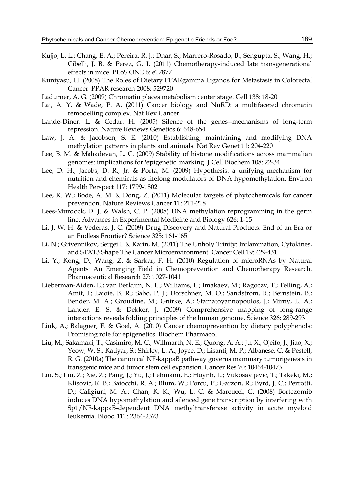- Kujjo, L. L.; Chang, E. A.; Pereira, R. J.; Dhar, S.; Marrero-Rosado, B.; Sengupta, S.; Wang, H.; Cibelli, J. B. & Perez, G. I. (2011) Chemotherapy-induced late transgenerational effects in mice. PLoS ONE 6: e17877
- Kuniyasu, H. (2008) The Roles of Dietary PPARgamma Ligands for Metastasis in Colorectal Cancer. PPAR research 2008: 529720
- Ladurner, A. G. (2009) Chromatin places metabolism center stage. Cell 138: 18-20
- Lai, A. Y. & Wade, P. A. (2011) Cancer biology and NuRD: a multifaceted chromatin remodelling complex. Nat Rev Cancer
- Lande-Diner, L. & Cedar, H. (2005) Silence of the genes--mechanisms of long-term repression. Nature Reviews Genetics 6: 648-654
- Law, J. A. & Jacobsen, S. E. (2010) Establishing, maintaining and modifying DNA methylation patterns in plants and animals. Nat Rev Genet 11: 204-220
- Lee, B. M. & Mahadevan, L. C. (2009) Stability of histone modifications across mammalian genomes: implications for 'epigenetic' marking. J Cell Biochem 108: 22-34
- Lee, D. H.; Jacobs, D. R., Jr. & Porta, M. (2009) Hypothesis: a unifying mechanism for nutrition and chemicals as lifelong modulators of DNA hypomethylation. Environ Health Perspect 117: 1799-1802
- Lee, K. W.; Bode, A. M. & Dong, Z. (2011) Molecular targets of phytochemicals for cancer prevention. Nature Reviews Cancer 11: 211-218
- Lees-Murdock, D. J. & Walsh, C. P. (2008) DNA methylation reprogramming in the germ line. Advances in Experimental Medicine and Biology 626: 1-15
- Li, J. W. H. & Vederas, J. C. (2009) Drug Discovery and Natural Products: End of an Era or an Endless Frontier? Science 325: 161-165
- Li, N.; Grivennikov, Sergei I. & Karin, M. (2011) The Unholy Trinity: Inflammation, Cytokines, and STAT3 Shape The Cancer Microenvironment. Cancer Cell 19: 429-431
- Li, Y.; Kong, D.; Wang, Z. & Sarkar, F. H. (2010) Regulation of microRNAs by Natural Agents: An Emerging Field in Chemoprevention and Chemotherapy Research. Pharmaceutical Research 27: 1027-1041
- Lieberman-Aiden, E.; van Berkum, N. L.; Williams, L.; Imakaev, M.; Ragoczy, T.; Telling, A.; Amit, I.; Lajoie, B. R.; Sabo, P. J.; Dorschner, M. O.; Sandstrom, R.; Bernstein, B.; Bender, M. A.; Groudine, M.; Gnirke, A.; Stamatoyannopoulos, J.; Mirny, L. A.; Lander, E. S. & Dekker, J. (2009) Comprehensive mapping of long-range interactions reveals folding principles of the human genome. Science 326: 289-293
- Link, A.; Balaguer, F. & Goel, A. (2010) Cancer chemoprevention by dietary polyphenols: Promising role for epigenetics. Biochem Pharmacol
- Liu, M.; Sakamaki, T.; Casimiro, M. C.; Willmarth, N. E.; Quong, A. A.; Ju, X.; Ojeifo, J.; Jiao, X.; Yeow, W. S.; Katiyar, S.; Shirley, L. A.; Joyce, D.; Lisanti, M. P.; Albanese, C. & Pestell, R. G. (2010a) The canonical NF-kappaB pathway governs mammary tumorigenesis in transgenic mice and tumor stem cell expansion. Cancer Res 70: 10464-10473
- Liu, S.; Liu, Z.; Xie, Z.; Pang, J.; Yu, J.; Lehmann, E.; Huynh, L.; Vukosavljevic, T.; Takeki, M.; Klisovic, R. B.; Baiocchi, R. A.; Blum, W.; Porcu, P.; Garzon, R.; Byrd, J. C.; Perrotti, D.; Caligiuri, M. A.; Chan, K. K.; Wu, L. C. & Marcucci, G. (2008) Bortezomib induces DNA hypomethylation and silenced gene transcription by interfering with Sp1/NF-kappaB-dependent DNA methyltransferase activity in acute myeloid leukemia. Blood 111: 2364-2373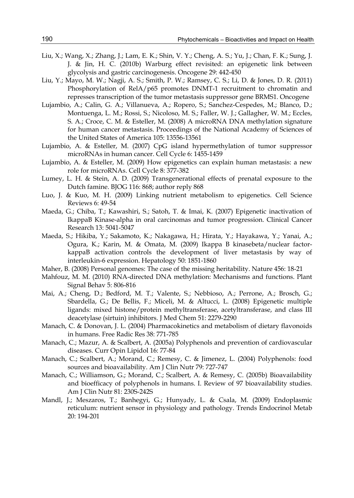- Liu, X.; Wang, X.; Zhang, J.; Lam, E. K.; Shin, V. Y.; Cheng, A. S.; Yu, J.; Chan, F. K.; Sung, J. J. & Jin, H. C. (2010b) Warburg effect revisited: an epigenetic link between glycolysis and gastric carcinogenesis. Oncogene 29: 442-450
- Liu, Y.; Mayo, M. W.; Nagji, A. S.; Smith, P. W.; Ramsey, C. S.; Li, D. & Jones, D. R. (2011) Phosphorylation of RelA/p65 promotes DNMT-1 recruitment to chromatin and represses transcription of the tumor metastasis suppressor gene BRMS1. Oncogene
- Lujambio, A.; Calin, G. A.; Villanueva, A.; Ropero, S.; Sanchez-Cespedes, M.; Blanco, D.; Montuenga, L. M.; Rossi, S.; Nicoloso, M. S.; Faller, W. J.; Gallagher, W. M.; Eccles, S. A.; Croce, C. M. & Esteller, M. (2008) A microRNA DNA methylation signature for human cancer metastasis. Proceedings of the National Academy of Sciences of the United States of America 105: 13556-13561
- Lujambio, A. & Esteller, M. (2007) CpG island hypermethylation of tumor suppressor microRNAs in human cancer. Cell Cycle 6: 1455-1459
- Lujambio, A. & Esteller, M. (2009) How epigenetics can explain human metastasis: a new role for microRNAs. Cell Cycle 8: 377-382
- Lumey, L. H. & Stein, A. D. (2009) Transgenerational effects of prenatal exposure to the Dutch famine. BJOG 116: 868; author reply 868
- Luo, J. & Kuo, M. H. (2009) Linking nutrient metabolism to epigenetics. Cell Science Reviews 6: 49-54
- Maeda, G.; Chiba, T.; Kawashiri, S.; Satoh, T. & Imai, K. (2007) Epigenetic inactivation of IkappaB Kinase-alpha in oral carcinomas and tumor progression. Clinical Cancer Research 13: 5041-5047
- Maeda, S.; Hikiba, Y.; Sakamoto, K.; Nakagawa, H.; Hirata, Y.; Hayakawa, Y.; Yanai, A.; Ogura, K.; Karin, M. & Omata, M. (2009) Ikappa B kinasebeta/nuclear factorkappaB activation controls the development of liver metastasis by way of interleukin-6 expression. Hepatology 50: 1851-1860
- Maher, B. (2008) Personal genomes: The case of the missing heritability. Nature 456: 18-21
- Mahfouz, M. M. (2010) RNA-directed DNA methylation: Mechanisms and functions. Plant Signal Behav 5: 806-816
- Mai, A.; Cheng, D.; Bedford, M. T.; Valente, S.; Nebbioso, A.; Perrone, A.; Brosch, G.; Sbardella, G.; De Bellis, F.; Miceli, M. & Altucci, L. (2008) Epigenetic multiple ligands: mixed histone/protein methyltransferase, acetyltransferase, and class III deacetylase (sirtuin) inhibitors. J Med Chem 51: 2279-2290
- Manach, C. & Donovan, J. L. (2004) Pharmacokinetics and metabolism of dietary flavonoids in humans. Free Radic Res 38: 771-785
- Manach, C.; Mazur, A. & Scalbert, A. (2005a) Polyphenols and prevention of cardiovascular diseases. Curr Opin Lipidol 16: 77-84
- Manach, C.; Scalbert, A.; Morand, C.; Remesy, C. & Jimenez, L. (2004) Polyphenols: food sources and bioavailability. Am J Clin Nutr 79: 727-747
- Manach, C.; Williamson, G.; Morand, C.; Scalbert, A. & Remesy, C. (2005b) Bioavailability and bioefficacy of polyphenols in humans. I. Review of 97 bioavailability studies. Am J Clin Nutr 81: 230S-242S
- Mandl, J.; Meszaros, T.; Banhegyi, G.; Hunyady, L. & Csala, M. (2009) Endoplasmic reticulum: nutrient sensor in physiology and pathology. Trends Endocrinol Metab 20: 194-201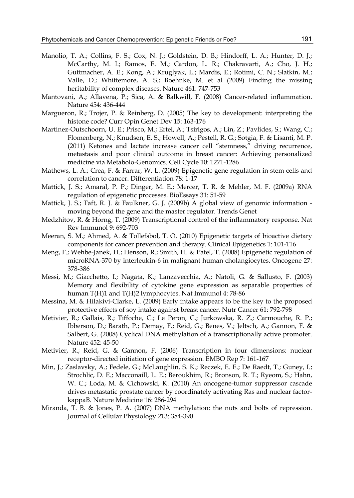- Manolio, T. A.; Collins, F. S.; Cox, N. J.; Goldstein, D. B.; Hindorff, L. A.; Hunter, D. J.; McCarthy, M. I.; Ramos, E. M.; Cardon, L. R.; Chakravarti, A.; Cho, J. H.; Guttmacher, A. E.; Kong, A.; Kruglyak, L.; Mardis, E.; Rotimi, C. N.; Slatkin, M.; Valle, D.; Whittemore, A. S.; Boehnke, M. et al (2009) Finding the missing heritability of complex diseases. Nature 461: 747-753
- Mantovani, A.; Allavena, P.; Sica, A. & Balkwill, F. (2008) Cancer-related inflammation. Nature 454: 436-444
- Margueron, R.; Trojer, P. & Reinberg, D. (2005) The key to development: interpreting the histone code? Curr Opin Genet Dev 15: 163-176
- Martinez-Outschoorn, U. E.; Prisco, M.; Ertel, A.; Tsirigos, A.; Lin, Z.; Pavlides, S.; Wang, C.; Flomenberg, N.; Knudsen, E. S.; Howell, A.; Pestell, R. G.; Sotgia, F. & Lisanti, M. P. (2011) Ketones and lactate increase cancer cell "stemness," driving recurrence, metastasis and poor clinical outcome in breast cancer: Achieving personalized medicine via Metabolo-Genomics. Cell Cycle 10: 1271-1286
- Mathews, L. A.; Crea, F. & Farrar, W. L. (2009) Epigenetic gene regulation in stem cells and correlation to cancer. Differentiation 78: 1-17
- Mattick, J. S.; Amaral, P. P.; Dinger, M. E.; Mercer, T. R. & Mehler, M. F. (2009a) RNA regulation of epigenetic processes. BioEssays 31: 51-59
- Mattick, J. S.; Taft, R. J. & Faulkner, G. J. (2009b) A global view of genomic information moving beyond the gene and the master regulator. Trends Genet
- Medzhitov, R. & Horng, T. (2009) Transcriptional control of the inflammatory response. Nat Rev Immunol 9: 692-703
- Meeran, S. M.; Ahmed, A. & Tollefsbol, T. O. (2010) Epigenetic targets of bioactive dietary components for cancer prevention and therapy. Clinical Epigenetics 1: 101-116
- Meng, F.; Wehbe-Janek, H.; Henson, R.; Smith, H. & Patel, T. (2008) Epigenetic regulation of microRNA-370 by interleukin-6 in malignant human cholangiocytes. Oncogene 27: 378-386
- Messi, M.; Giacchetto, I.; Nagata, K.; Lanzavecchia, A.; Natoli, G. & Sallusto, F. (2003) Memory and flexibility of cytokine gene expression as separable properties of human T(H)1 and T(H)2 lymphocytes. Nat Immunol 4: 78-86
- Messina, M. & Hilakivi-Clarke, L. (2009) Early intake appears to be the key to the proposed protective effects of soy intake against breast cancer. Nutr Cancer 61: 792-798
- Metivier, R.; Gallais, R.; Tiffoche, C.; Le Peron, C.; Jurkowska, R. Z.; Carmouche, R. P.; Ibberson, D.; Barath, P.; Demay, F.; Reid, G.; Benes, V.; Jeltsch, A.; Gannon, F. & Salbert, G. (2008) Cyclical DNA methylation of a transcriptionally active promoter. Nature 452: 45-50
- Metivier, R.; Reid, G. & Gannon, F. (2006) Transcription in four dimensions: nuclear receptor-directed initiation of gene expression. EMBO Rep 7: 161-167
- Min, J.; Zaslavsky, A.; Fedele, G.; McLaughlin, S. K.; Reczek, E. E.; De Raedt, T.; Guney, I.; Strochlic, D. E.; Macconaill, L. E.; Beroukhim, R.; Bronson, R. T.; Ryeom, S.; Hahn, W. C.; Loda, M. & Cichowski, K. (2010) An oncogene-tumor suppressor cascade drives metastatic prostate cancer by coordinately activating Ras and nuclear factorkappaB. Nature Medicine 16: 286-294
- Miranda, T. B. & Jones, P. A. (2007) DNA methylation: the nuts and bolts of repression. Journal of Cellular Physiology 213: 384-390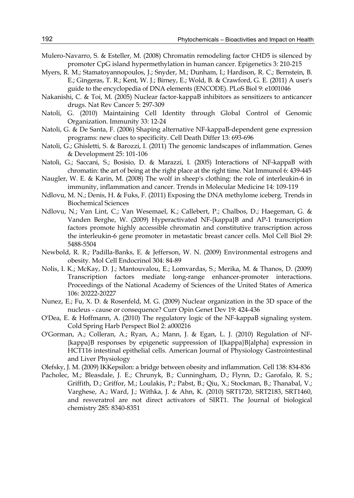- Mulero-Navarro, S. & Esteller, M. (2008) Chromatin remodeling factor CHD5 is silenced by promoter CpG island hypermethylation in human cancer. Epigenetics 3: 210-215
- Myers, R. M.; Stamatoyannopoulos, J.; Snyder, M.; Dunham, I.; Hardison, R. C.; Bernstein, B. E.; Gingeras, T. R.; Kent, W. J.; Birney, E.; Wold, B. & Crawford, G. E. (2011) A user's guide to the encyclopedia of DNA elements (ENCODE). PLoS Biol 9: e1001046
- Nakanishi, C. & Toi, M. (2005) Nuclear factor-kappaB inhibitors as sensitizers to anticancer drugs. Nat Rev Cancer 5: 297-309
- Natoli, G. (2010) Maintaining Cell Identity through Global Control of Genomic Organization. Immunity 33: 12-24
- Natoli, G. & De Santa, F. (2006) Shaping alternative NF-kappaB-dependent gene expression programs: new clues to specificity. Cell Death Differ 13: 693-696
- Natoli, G.; Ghisletti, S. & Barozzi, I. (2011) The genomic landscapes of inflammation. Genes & Development 25: 101-106
- Natoli, G.; Saccani, S.; Bosisio, D. & Marazzi, I. (2005) Interactions of NF-kappaB with chromatin: the art of being at the right place at the right time. Nat Immunol 6: 439-445
- Naugler, W. E. & Karin, M. (2008) The wolf in sheep's clothing: the role of interleukin-6 in immunity, inflammation and cancer. Trends in Molecular Medicine 14: 109-119
- Ndlovu, M. N.; Denis, H. & Fuks, F. (2011) Exposing the DNA methylome iceberg. Trends in Biochemical Sciences
- Ndlovu, N.; Van Lint, C.; Van Wesemael, K.; Callebert, P.; Chalbos, D.; Haegeman, G. & Vanden Berghe, W. (2009) Hyperactivated NF-{kappa}B and AP-1 transcription factors promote highly accessible chromatin and constitutive transcription across the interleukin-6 gene promoter in metastatic breast cancer cells. Mol Cell Biol 29: 5488-5504
- Newbold, R. R.; Padilla-Banks, E. & Jefferson, W. N. (2009) Environmental estrogens and obesity. Mol Cell Endocrinol 304: 84-89
- Nolis, I. K.; McKay, D. J.; Mantouvalou, E.; Lomvardas, S.; Merika, M. & Thanos, D. (2009) Transcription factors mediate long-range enhancer-promoter interactions. Proceedings of the National Academy of Sciences of the United States of America 106: 20222-20227
- Nunez, E.; Fu, X. D. & Rosenfeld, M. G. (2009) Nuclear organization in the 3D space of the nucleus - cause or consequence? Curr Opin Genet Dev 19: 424-436
- O'Dea, E. & Hoffmann, A. (2010) The regulatory logic of the NF-kappaB signaling system. Cold Spring Harb Perspect Biol 2: a000216
- O'Gorman, A.; Colleran, A.; Ryan, A.; Mann, J. & Egan, L. J. (2010) Regulation of NF- {kappa}B responses by epigenetic suppression of I{kappa}B{alpha} expression in HCT116 intestinal epithelial cells. American Journal of Physiology Gastrointestinal and Liver Physiology
- Olefsky, J. M. (2009) IKKepsilon: a bridge between obesity and inflammation. Cell 138: 834-836
- Pacholec, M.; Bleasdale, J. E.; Chrunyk, B.; Cunningham, D.; Flynn, D.; Garofalo, R. S.; Griffith, D.; Griffor, M.; Loulakis, P.; Pabst, B.; Qiu, X.; Stockman, B.; Thanabal, V.; Varghese, A.; Ward, J.; Withka, J. & Ahn, K. (2010) SRT1720, SRT2183, SRT1460, and resveratrol are not direct activators of SIRT1. The Journal of biological chemistry 285: 8340-8351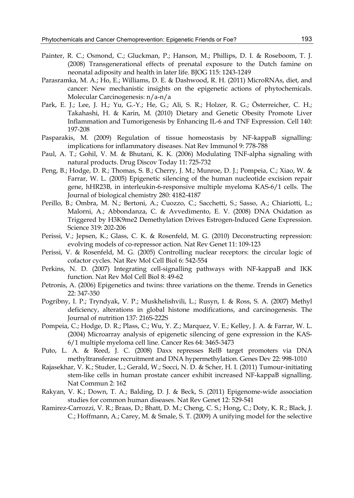- Painter, R. C.; Osmond, C.; Gluckman, P.; Hanson, M.; Phillips, D. I. & Roseboom, T. J. (2008) Transgenerational effects of prenatal exposure to the Dutch famine on neonatal adiposity and health in later life. BJOG 115: 1243-1249
- Parasramka, M. A.; Ho, E.; Williams, D. E. & Dashwood, R. H. (2011) MicroRNAs, diet, and cancer: New mechanistic insights on the epigenetic actions of phytochemicals. Molecular Carcinogenesis: n/a-n/a
- Park, E. J.; Lee, J. H.; Yu, G.-Y.; He, G.; Ali, S. R.; Holzer, R. G.; Österreicher, C. H.; Takahashi, H. & Karin, M. (2010) Dietary and Genetic Obesity Promote Liver Inflammation and Tumorigenesis by Enhancing IL-6 and TNF Expression. Cell 140: 197-208
- Pasparakis, M. (2009) Regulation of tissue homeostasis by NF-kappaB signalling: implications for inflammatory diseases. Nat Rev Immunol 9: 778-788
- Paul, A. T.; Gohil, V. M. & Bhutani, K. K. (2006) Modulating TNF-alpha signaling with natural products. Drug Discov Today 11: 725-732
- Peng, B.; Hodge, D. R.; Thomas, S. B.; Cherry, J. M.; Munroe, D. J.; Pompeia, C.; Xiao, W. & Farrar, W. L. (2005) Epigenetic silencing of the human nucleotide excision repair gene, hHR23B, in interleukin-6-responsive multiple myeloma KAS-6/1 cells. The Journal of biological chemistry 280: 4182-4187
- Perillo, B.; Ombra, M. N.; Bertoni, A.; Cuozzo, C.; Sacchetti, S.; Sasso, A.; Chiariotti, L.; Malorni, A.; Abbondanza, C. & Avvedimento, E. V. (2008) DNA Oxidation as Triggered by H3K9me2 Demethylation Drives Estrogen-Induced Gene Expression. Science 319: 202-206
- Perissi, V.; Jepsen, K.; Glass, C. K. & Rosenfeld, M. G. (2010) Deconstructing repression: evolving models of co-repressor action. Nat Rev Genet 11: 109-123
- Perissi, V. & Rosenfeld, M. G. (2005) Controlling nuclear receptors: the circular logic of cofactor cycles. Nat Rev Mol Cell Biol 6: 542-554
- Perkins, N. D. (2007) Integrating cell-signalling pathways with NF-kappaB and IKK function. Nat Rev Mol Cell Biol 8: 49-62
- Petronis, A. (2006) Epigenetics and twins: three variations on the theme. Trends in Genetics 22: 347-350
- Pogribny, I. P.; Tryndyak, V. P.; Muskhelishvili, L.; Rusyn, I. & Ross, S. A. (2007) Methyl deficiency, alterations in global histone modifications, and carcinogenesis. The Journal of nutrition 137: 216S-222S
- Pompeia, C.; Hodge, D. R.; Plass, C.; Wu, Y. Z.; Marquez, V. E.; Kelley, J. A. & Farrar, W. L. (2004) Microarray analysis of epigenetic silencing of gene expression in the KAS-6/1 multiple myeloma cell line. Cancer Res 64: 3465-3473
- Puto, L. A. & Reed, J. C. (2008) Daxx represses RelB target promoters via DNA methyltransferase recruitment and DNA hypermethylation. Genes Dev 22: 998-1010
- Rajasekhar, V. K.; Studer, L.; Gerald, W.; Socci, N. D. & Scher, H. I. (2011) Tumour-initiating stem-like cells in human prostate cancer exhibit increased NF-kappaB signalling. Nat Commun 2: 162
- Rakyan, V. K.; Down, T. A.; Balding, D. J. & Beck, S. (2011) Epigenome-wide association studies for common human diseases. Nat Rev Genet 12: 529-541
- Ramirez-Carrozzi, V. R.; Braas, D.; Bhatt, D. M.; Cheng, C. S.; Hong, C.; Doty, K. R.; Black, J. C.; Hoffmann, A.; Carey, M. & Smale, S. T. (2009) A unifying model for the selective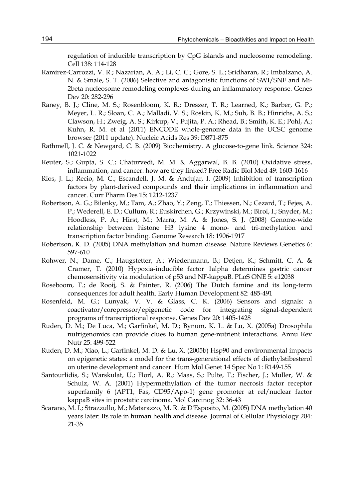regulation of inducible transcription by CpG islands and nucleosome remodeling. Cell 138: 114-128

- Ramirez-Carrozzi, V. R.; Nazarian, A. A.; Li, C. C.; Gore, S. L.; Sridharan, R.; Imbalzano, A. N. & Smale, S. T. (2006) Selective and antagonistic functions of SWI/SNF and Mi-2beta nucleosome remodeling complexes during an inflammatory response. Genes Dev 20: 282-296
- Raney, B. J.; Cline, M. S.; Rosenbloom, K. R.; Dreszer, T. R.; Learned, K.; Barber, G. P.; Meyer, L. R.; Sloan, C. A.; Malladi, V. S.; Roskin, K. M.; Suh, B. B.; Hinrichs, A. S.; Clawson, H.; Zweig, A. S.; Kirkup, V.; Fujita, P. A.; Rhead, B.; Smith, K. E.; Pohl, A.; Kuhn, R. M. et al (2011) ENCODE whole-genome data in the UCSC genome browser (2011 update). Nucleic Acids Res 39: D871-875
- Rathmell, J. C. & Newgard, C. B. (2009) Biochemistry. A glucose-to-gene link. Science 324: 1021-1022
- Reuter, S.; Gupta, S. C.; Chaturvedi, M. M. & Aggarwal, B. B. (2010) Oxidative stress, inflammation, and cancer: how are they linked? Free Radic Biol Med 49: 1603-1616
- Rios, J. L.; Recio, M. C.; Escandell, J. M. & Andujar, I. (2009) Inhibition of transcription factors by plant-derived compounds and their implications in inflammation and cancer. Curr Pharm Des 15: 1212-1237
- Robertson, A. G.; Bilenky, M.; Tam, A.; Zhao, Y.; Zeng, T.; Thiessen, N.; Cezard, T.; Fejes, A. P.; Wederell, E. D.; Cullum, R.; Euskirchen, G.; Krzywinski, M.; Birol, I.; Snyder, M.; Hoodless, P. A.; Hirst, M.; Marra, M. A. & Jones, S. J. (2008) Genome-wide relationship between histone H3 lysine 4 mono- and tri-methylation and transcription factor binding. Genome Research 18: 1906-1917
- Robertson, K. D. (2005) DNA methylation and human disease. Nature Reviews Genetics 6: 597-610
- Rohwer, N.; Dame, C.; Haugstetter, A.; Wiedenmann, B.; Detjen, K.; Schmitt, C. A. & Cramer, T. (2010) Hypoxia-inducible factor 1alpha determines gastric cancer chemosensitivity via modulation of p53 and NF-kappaB. PLoS ONE 5: e12038
- Roseboom, T.; de Rooij, S. & Painter, R. (2006) The Dutch famine and its long-term consequences for adult health. Early Human Development 82: 485-491
- Rosenfeld, M. G.; Lunyak, V. V. & Glass, C. K. (2006) Sensors and signals: a coactivator/corepressor/epigenetic code for integrating signal-dependent programs of transcriptional response. Genes Dev 20: 1405-1428
- Ruden, D. M.; De Luca, M.; Garfinkel, M. D.; Bynum, K. L. & Lu, X. (2005a) Drosophila nutrigenomics can provide clues to human gene-nutrient interactions. Annu Rev Nutr 25: 499-522
- Ruden, D. M.; Xiao, L.; Garfinkel, M. D. & Lu, X. (2005b) Hsp90 and environmental impacts on epigenetic states: a model for the trans-generational effects of diethylstibesterol on uterine development and cancer. Hum Mol Genet 14 Spec No 1: R149-155
- Santourlidis, S.; Warskulat, U.; Florl, A. R.; Maas, S.; Pulte, T.; Fischer, J.; Muller, W. & Schulz, W. A. (2001) Hypermethylation of the tumor necrosis factor receptor superfamily 6 (APT1, Fas, CD95/Apo-1) gene promoter at rel/nuclear factor kappaB sites in prostatic carcinoma. Mol Carcinog 32: 36-43
- Scarano, M. I.; Strazzullo, M.; Matarazzo, M. R. & D'Esposito, M. (2005) DNA methylation 40 years later: Its role in human health and disease. Journal of Cellular Physiology 204: 21-35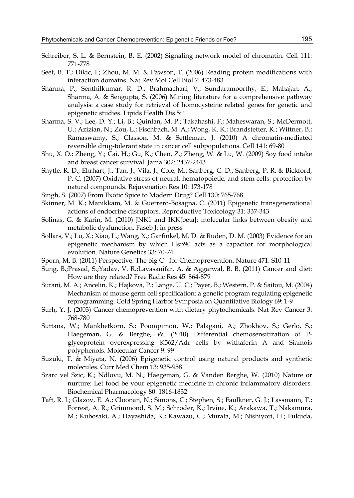- Schreiber, S. L. & Bernstein, B. E. (2002) Signaling network model of chromatin. Cell 111: 771-778
- Seet, B. T.; Dikic, I.; Zhou, M. M. & Pawson, T. (2006) Reading protein modifications with interaction domains. Nat Rev Mol Cell Biol 7: 473-483
- Sharma, P.; Senthilkumar, R. D.; Brahmachari, V.; Sundaramoorthy, E.; Mahajan, A.; Sharma, A. & Sengupta, S. (2006) Mining literature for a comprehensive pathway analysis: a case study for retrieval of homocysteine related genes for genetic and epigenetic studies. Lipids Health Dis 5: 1
- Sharma, S. V.; Lee, D. Y.; Li, B.; Quinlan, M. P.; Takahashi, F.; Maheswaran, S.; McDermott, U.; Azizian, N.; Zou, L.; Fischbach, M. A.; Wong, K. K.; Brandstetter, K.; Wittner, B.; Ramaswamy, S.; Classon, M. & Settleman, J. (2010) A chromatin-mediated reversible drug-tolerant state in cancer cell subpopulations. Cell 141: 69-80
- Shu, X. O.; Zheng, Y.; Cai, H.; Gu, K.; Chen, Z.; Zheng, W. & Lu, W. (2009) Soy food intake and breast cancer survival. Jama 302: 2437-2443
- Shytle, R. D.; Ehrhart, J.; Tan, J.; Vila, J.; Cole, M.; Sanberg, C. D.; Sanberg, P. R. & Bickford, P. C. (2007) Oxidative stress of neural, hematopoietic, and stem cells: protection by natural compounds. Rejuvenation Res 10: 173-178
- Singh, S. (2007) From Exotic Spice to Modern Drug? Cell 130: 765-768
- Skinner, M. K.; Manikkam, M. & Guerrero-Bosagna, C. (2011) Epigenetic transgenerational actions of endocrine disruptors. Reproductive Toxicology 31: 337-343
- Solinas, G. & Karin, M. (2010) JNK1 and IKK{beta}: molecular links between obesity and metabolic dysfunction. Faseb J: in press
- Sollars, V.; Lu, X.; Xiao, L.; Wang, X.; Garfinkel, M. D. & Ruden, D. M. (2003) Evidence for an epigenetic mechanism by which Hsp90 acts as a capacitor for morphological evolution. Nature Genetics 33: 70-74
- Sporn, M. B. (2011) Perspective: The big C for Chemoprevention. Nature 471: S10-11
- Sung, B.;Prasad, S.;Yadav, V. R.;Lavasanifar, A. & Aggarwal, B. B. (2011) Cancer and diet: How are they related? Free Radic Res 45: 864-879
- Surani, M. A.; Ancelin, K.; Hajkova, P.; Lange, U. C.; Payer, B.; Western, P. & Saitou, M. (2004) Mechanism of mouse germ cell specification: a genetic program regulating epigenetic reprogramming. Cold Spring Harbor Symposia on Quantitative Biology 69: 1-9
- Surh, Y. J. (2003) Cancer chemoprevention with dietary phytochemicals. Nat Rev Cancer 3: 768-780
- Suttana, W.; Mankhetkorn, S.; Poompimon, W.; Palagani, A.; Zhokhov, S.; Gerlo, S.; Haegeman, G. & Berghe, W. (2010) Differential chemosensitization of Pglycoprotein overexpressing K562/Adr cells by withaferin A and Siamois polyphenols. Molecular Cancer 9: 99
- Suzuki, T. & Miyata, N. (2006) Epigenetic control using natural products and synthetic molecules. Curr Med Chem 13: 935-958
- Szarc vel Szic, K.; Ndlovu, M. N.; Haegeman, G. & Vanden Berghe, W. (2010) Nature or nurture: Let food be your epigenetic medicine in chronic inflammatory disorders. Biochemical Pharmacology 80: 1816-1832
- Taft, R. J.; Glazov, E. A.; Cloonan, N.; Simons, C.; Stephen, S.; Faulkner, G. J.; Lassmann, T.; Forrest, A. R.; Grimmond, S. M.; Schroder, K.; Irvine, K.; Arakawa, T.; Nakamura, M.; Kubosaki, A.; Hayashida, K.; Kawazu, C.; Murata, M.; Nishiyori, H.; Fukuda,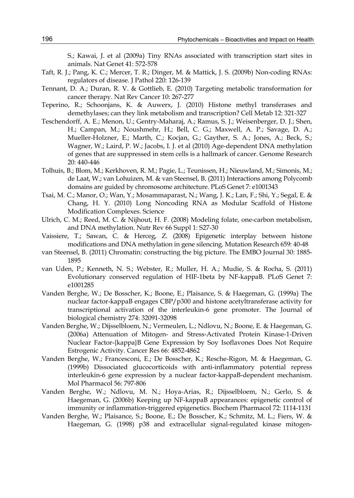S.; Kawai, J. et al (2009a) Tiny RNAs associated with transcription start sites in animals. Nat Genet 41: 572-578

- Taft, R. J.; Pang, K. C.; Mercer, T. R.; Dinger, M. & Mattick, J. S. (2009b) Non-coding RNAs: regulators of disease. J Pathol 220: 126-139
- Tennant, D. A.; Duran, R. V. & Gottlieb, E. (2010) Targeting metabolic transformation for cancer therapy. Nat Rev Cancer 10: 267-277
- Teperino, R.; Schoonjans, K. & Auwerx, J. (2010) Histone methyl transferases and demethylases; can they link metabolism and transcription? Cell Metab 12: 321-327
- Teschendorff, A. E.; Menon, U.; Gentry-Maharaj, A.; Ramus, S. J.; Weisenberger, D. J.; Shen, H.; Campan, M.; Noushmehr, H.; Bell, C. G.; Maxwell, A. P.; Savage, D. A.; Mueller-Holzner, E.; Marth, C.; Kocjan, G.; Gayther, S. A.; Jones, A.; Beck, S.; Wagner, W.; Laird, P. W.; Jacobs, I. J. et al (2010) Age-dependent DNA methylation of genes that are suppressed in stem cells is a hallmark of cancer. Genome Research 20: 440-446
- Tolhuis, B.; Blom, M.; Kerkhoven, R. M.; Pagie, L.; Teunissen, H.; Nieuwland, M.; Simonis, M.; de Laat, W.; van Lohuizen, M. & van Steensel, B. (2011) Interactions among Polycomb domains are guided by chromosome architecture. PLoS Genet 7: e1001343
- Tsai, M. C.; Manor, O.; Wan, Y.; Mosammaparast, N.; Wang, J. K.; Lan, F.; Shi, Y.; Segal, E. & Chang, H. Y. (2010) Long Noncoding RNA as Modular Scaffold of Histone Modification Complexes. Science
- Ulrich, C. M.; Reed, M. C. & Nijhout, H. F. (2008) Modeling folate, one-carbon metabolism, and DNA methylation. Nutr Rev 66 Suppl 1: S27-30
- Vaissiere, T.; Sawan, C. & Herceg, Z. (2008) Epigenetic interplay between histone modifications and DNA methylation in gene silencing. Mutation Research 659: 40-48
- van Steensel, B. (2011) Chromatin: constructing the big picture. The EMBO Journal 30: 1885- 1895
- van Uden, P.; Kenneth, N. S.; Webster, R.; Muller, H. A.; Mudie, S. & Rocha, S. (2011) Evolutionary conserved regulation of HIF-1beta by NF-kappaB. PLoS Genet 7: e1001285
- Vanden Berghe, W.; De Bosscher, K.; Boone, E.; Plaisance, S. & Haegeman, G. (1999a) The nuclear factor-kappaB engages CBP/p300 and histone acetyltransferase activity for transcriptional activation of the interleukin-6 gene promoter. The Journal of biological chemistry 274: 32091-32098
- Vanden Berghe, W.; Dijsselbloem, N.; Vermeulen, L.; Ndlovu, N.; Boone, E. & Haegeman, G. (2006a) Attenuation of Mitogen- and Stress-Activated Protein Kinase-1-Driven Nuclear Factor-{kappa}B Gene Expression by Soy Isoflavones Does Not Require Estrogenic Activity. Cancer Res 66: 4852-4862
- Vanden Berghe, W.; Francesconi, E.; De Bosscher, K.; Resche-Rigon, M. & Haegeman, G. (1999b) Dissociated glucocorticoids with anti-inflammatory potential repress interleukin-6 gene expression by a nuclear factor-kappaB-dependent mechanism. Mol Pharmacol 56: 797-806
- Vanden Berghe, W.; Ndlovu, M. N.; Hoya-Arias, R.; Dijsselbloem, N.; Gerlo, S. & Haegeman, G. (2006b) Keeping up NF-kappaB appearances: epigenetic control of immunity or inflammation-triggered epigenetics. Biochem Pharmacol 72: 1114-1131
- Vanden Berghe, W.; Plaisance, S.; Boone, E.; De Bosscher, K.; Schmitz, M. L.; Fiers, W. & Haegeman, G. (1998) p38 and extracellular signal-regulated kinase mitogen-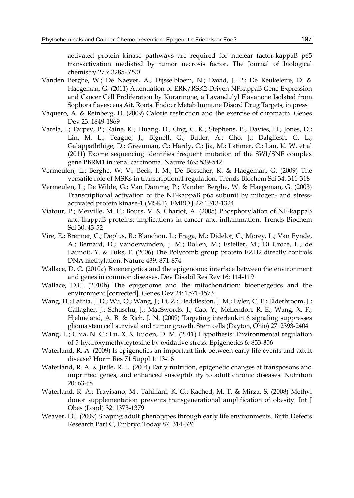activated protein kinase pathways are required for nuclear factor-kappaB p65 transactivation mediated by tumor necrosis factor. The Journal of biological chemistry 273: 3285-3290

- Vanden Berghe, W.; De Naeyer, A.; Dijsselbloem, N.; David, J. P.; De Keukeleire, D. & Haegeman, G. (2011) Attenuation of ERK/RSK2-Driven NFkappaB Gene Expression and Cancer Cell Proliferation by Kurarinone, a Lavandulyl Flavanone Isolated from Sophora flavescens Ait. Roots. Endocr Metab Immune Disord Drug Targets, in press
- Vaquero, A. & Reinberg, D. (2009) Calorie restriction and the exercise of chromatin. Genes Dev 23: 1849-1869
- Varela, I.; Tarpey, P.; Raine, K.; Huang, D.; Ong, C. K.; Stephens, P.; Davies, H.; Jones, D.; Lin, M. L.; Teague, J.; Bignell, G.; Butler, A.; Cho, J.; Dalgliesh, G. L.; Galappaththige, D.; Greenman, C.; Hardy, C.; Jia, M.; Latimer, C.; Lau, K. W. et al (2011) Exome sequencing identifies frequent mutation of the SWI/SNF complex gene PBRM1 in renal carcinoma. Nature 469: 539-542
- Vermeulen, L.; Berghe, W. V.; Beck, I. M.; De Bosscher, K. & Haegeman, G. (2009) The versatile role of MSKs in transcriptional regulation. Trends Biochem Sci 34: 311-318
- Vermeulen, L.; De Wilde, G.; Van Damme, P.; Vanden Berghe, W. & Haegeman, G. (2003) Transcriptional activation of the NF-kappaB p65 subunit by mitogen- and stressactivated protein kinase-1 (MSK1). EMBO J 22: 1313-1324
- Viatour, P.; Merville, M. P.; Bours, V. & Chariot, A. (2005) Phosphorylation of NF-kappaB and IkappaB proteins: implications in cancer and inflammation. Trends Biochem Sci 30: 43-52
- Vire, E.; Brenner, C.; Deplus, R.; Blanchon, L.; Fraga, M.; Didelot, C.; Morey, L.; Van Eynde, A.; Bernard, D.; Vanderwinden, J. M.; Bollen, M.; Esteller, M.; Di Croce, L.; de Launoit, Y. & Fuks, F. (2006) The Polycomb group protein EZH2 directly controls DNA methylation. Nature 439: 871-874
- Wallace, D. C. (2010a) Bioenergetics and the epigenome: interface between the environment and genes in common diseases. Dev Disabil Res Rev 16: 114-119
- Wallace, D.C. (2010b) The epigenome and the mitochondrion: bioenergetics and the environment [corrected]. Genes Dev 24: 1571-1573
- Wang, H.; Lathia, J. D.; Wu, Q.; Wang, J.; Li, Z.; Heddleston, J. M.; Eyler, C. E.; Elderbroom, J.; Gallagher, J.; Schuschu, J.; MacSwords, J.; Cao, Y.; McLendon, R. E.; Wang, X. F.; Hjelmeland, A. B. & Rich, J. N. (2009) Targeting interleukin 6 signaling suppresses glioma stem cell survival and tumor growth. Stem cells (Dayton, Ohio) 27: 2393-2404
- Wang, L.; Chia, N. C.; Lu, X. & Ruden, D. M. (2011) Hypothesis: Environmental regulation of 5-hydroxymethylcytosine by oxidative stress. Epigenetics 6: 853-856
- Waterland, R. A. (2009) Is epigenetics an important link between early life events and adult disease? Horm Res 71 Suppl 1: 13-16
- Waterland, R. A. & Jirtle, R. L. (2004) Early nutrition, epigenetic changes at transposons and imprinted genes, and enhanced susceptibility to adult chronic diseases. Nutrition 20: 63-68
- Waterland, R. A.; Travisano, M.; Tahiliani, K. G.; Rached, M. T. & Mirza, S. (2008) Methyl donor supplementation prevents transgenerational amplification of obesity. Int J Obes (Lond) 32: 1373-1379
- Weaver, I.C. (2009) Shaping adult phenotypes through early life environments. Birth Defects Research Part C, Embryo Today 87: 314-326